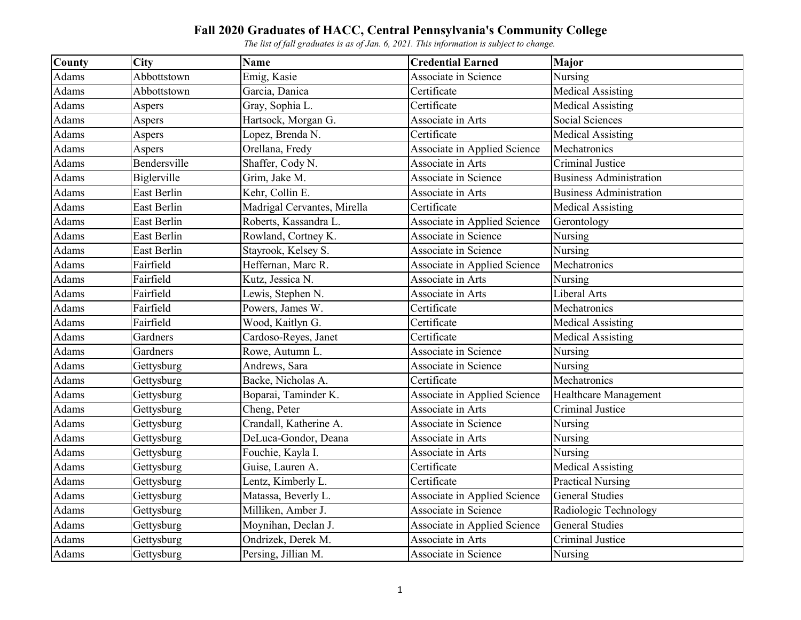| <b>County</b> | <b>City</b>  | <b>Name</b>                 | <b>Credential Earned</b>     | <b>Major</b>                   |
|---------------|--------------|-----------------------------|------------------------------|--------------------------------|
| Adams         | Abbottstown  | Emig, Kasie                 | Associate in Science         | Nursing                        |
| Adams         | Abbottstown  | Garcia, Danica              | Certificate                  | <b>Medical Assisting</b>       |
| Adams         | Aspers       | Gray, Sophia L.             | Certificate                  | <b>Medical Assisting</b>       |
| Adams         | Aspers       | Hartsock, Morgan G.         | Associate in Arts            | Social Sciences                |
| Adams         | Aspers       | Lopez, Brenda N.            | Certificate                  | <b>Medical Assisting</b>       |
| Adams         | Aspers       | Orellana, Fredy             | Associate in Applied Science | Mechatronics                   |
| Adams         | Bendersville | Shaffer, Cody N.            | Associate in Arts            | Criminal Justice               |
| Adams         | Biglerville  | Grim, Jake M.               | Associate in Science         | <b>Business Administration</b> |
| Adams         | East Berlin  | Kehr, Collin E.             | Associate in Arts            | <b>Business Administration</b> |
| Adams         | East Berlin  | Madrigal Cervantes, Mirella | Certificate                  | <b>Medical Assisting</b>       |
| Adams         | East Berlin  | Roberts, Kassandra L.       | Associate in Applied Science | Gerontology                    |
| Adams         | East Berlin  | Rowland, Cortney K.         | Associate in Science         | Nursing                        |
| Adams         | East Berlin  | Stayrook, Kelsey S.         | Associate in Science         | Nursing                        |
| Adams         | Fairfield    | Heffernan, Marc R.          | Associate in Applied Science | Mechatronics                   |
| Adams         | Fairfield    | Kutz, Jessica N.            | Associate in Arts            | Nursing                        |
| Adams         | Fairfield    | Lewis, Stephen N.           | Associate in Arts            | Liberal Arts                   |
| Adams         | Fairfield    | Powers, James W.            | Certificate                  | Mechatronics                   |
| Adams         | Fairfield    | Wood, Kaitlyn G.            | Certificate                  | <b>Medical Assisting</b>       |
| Adams         | Gardners     | Cardoso-Reyes, Janet        | Certificate                  | <b>Medical Assisting</b>       |
| Adams         | Gardners     | Rowe, Autumn L.             | Associate in Science         | Nursing                        |
| Adams         | Gettysburg   | Andrews, Sara               | Associate in Science         | Nursing                        |
| Adams         | Gettysburg   | Backe, Nicholas A.          | Certificate                  | Mechatronics                   |
| Adams         | Gettysburg   | Boparai, Taminder K.        | Associate in Applied Science | Healthcare Management          |
| Adams         | Gettysburg   | Cheng, Peter                | Associate in Arts            | Criminal Justice               |
| Adams         | Gettysburg   | Crandall, Katherine A.      | Associate in Science         | Nursing                        |
| Adams         | Gettysburg   | DeLuca-Gondor, Deana        | Associate in Arts            | Nursing                        |
| Adams         | Gettysburg   | Fouchie, Kayla I.           | Associate in Arts            | Nursing                        |
| Adams         | Gettysburg   | Guise, Lauren A.            | Certificate                  | <b>Medical Assisting</b>       |
| Adams         | Gettysburg   | Lentz, Kimberly L.          | Certificate                  | <b>Practical Nursing</b>       |
| Adams         | Gettysburg   | Matassa, Beverly L.         | Associate in Applied Science | <b>General Studies</b>         |
| Adams         | Gettysburg   | Milliken, Amber J.          | Associate in Science         | Radiologic Technology          |
| Adams         | Gettysburg   | Moynihan, Declan J.         | Associate in Applied Science | <b>General Studies</b>         |
| Adams         | Gettysburg   | Ondrizek, Derek M.          | Associate in Arts            | Criminal Justice               |
| Adams         | Gettysburg   | Persing, Jillian M.         | Associate in Science         | Nursing                        |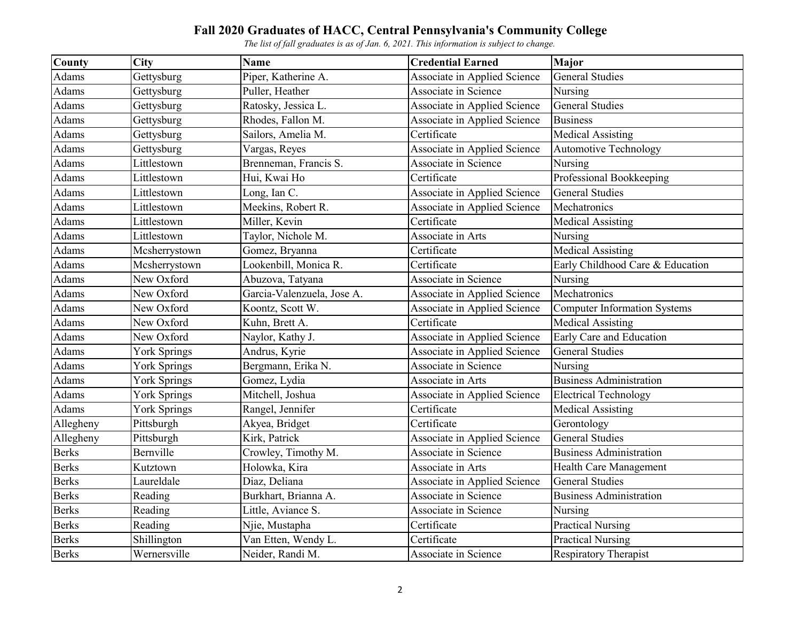| County       | <b>City</b>         | <b>Name</b>                | <b>Credential Earned</b>     | Major                               |
|--------------|---------------------|----------------------------|------------------------------|-------------------------------------|
| Adams        | Gettysburg          | Piper, Katherine A.        | Associate in Applied Science | <b>General Studies</b>              |
| Adams        | Gettysburg          | Puller, Heather            | Associate in Science         | Nursing                             |
| Adams        | Gettysburg          | Ratosky, Jessica L.        | Associate in Applied Science | <b>General Studies</b>              |
| Adams        | Gettysburg          | Rhodes, Fallon M.          | Associate in Applied Science | <b>Business</b>                     |
| Adams        | Gettysburg          | Sailors, Amelia M.         | Certificate                  | <b>Medical Assisting</b>            |
| Adams        | Gettysburg          | Vargas, Reyes              | Associate in Applied Science | <b>Automotive Technology</b>        |
| Adams        | Littlestown         | Brenneman, Francis S.      | Associate in Science         | Nursing                             |
| Adams        | Littlestown         | Hui, Kwai Ho               | Certificate                  | Professional Bookkeeping            |
| Adams        | Littlestown         | Long, Ian C.               | Associate in Applied Science | <b>General Studies</b>              |
| Adams        | Littlestown         | Meekins, Robert R.         | Associate in Applied Science | Mechatronics                        |
| Adams        | Littlestown         | Miller, Kevin              | Certificate                  | <b>Medical Assisting</b>            |
| Adams        | Littlestown         | Taylor, Nichole M.         | Associate in Arts            | Nursing                             |
| Adams        | Mcsherrystown       | Gomez, Bryanna             | Certificate                  | <b>Medical Assisting</b>            |
| Adams        | Mcsherrystown       | Lookenbill, Monica R.      | Certificate                  | Early Childhood Care & Education    |
| Adams        | New Oxford          | Abuzova, Tatyana           | Associate in Science         | Nursing                             |
| Adams        | New Oxford          | Garcia-Valenzuela, Jose A. | Associate in Applied Science | Mechatronics                        |
| Adams        | New Oxford          | Koontz, Scott W.           | Associate in Applied Science | <b>Computer Information Systems</b> |
| Adams        | New Oxford          | Kuhn, Brett A.             | Certificate                  | <b>Medical Assisting</b>            |
| Adams        | New Oxford          | Naylor, Kathy J.           | Associate in Applied Science | Early Care and Education            |
| Adams        | <b>York Springs</b> | Andrus, Kyrie              | Associate in Applied Science | <b>General Studies</b>              |
| Adams        | <b>York Springs</b> | Bergmann, Erika N.         | Associate in Science         | Nursing                             |
| Adams        | <b>York Springs</b> | Gomez, Lydia               | Associate in Arts            | <b>Business Administration</b>      |
| Adams        | <b>York Springs</b> | Mitchell, Joshua           | Associate in Applied Science | <b>Electrical Technology</b>        |
| Adams        | <b>York Springs</b> | Rangel, Jennifer           | Certificate                  | <b>Medical Assisting</b>            |
| Allegheny    | Pittsburgh          | Akyea, Bridget             | Certificate                  | Gerontology                         |
| Allegheny    | Pittsburgh          | Kirk, Patrick              | Associate in Applied Science | <b>General Studies</b>              |
| <b>Berks</b> | Bernville           | Crowley, Timothy M.        | Associate in Science         | <b>Business Administration</b>      |
| <b>Berks</b> | Kutztown            | Holowka, Kira              | Associate in Arts            | Health Care Management              |
| <b>Berks</b> | Laureldale          | Diaz, Deliana              | Associate in Applied Science | <b>General Studies</b>              |
| <b>Berks</b> | Reading             | Burkhart, Brianna A.       | Associate in Science         | <b>Business Administration</b>      |
| <b>Berks</b> | Reading             | Little, Aviance S.         | Associate in Science         | Nursing                             |
| <b>Berks</b> | Reading             | Njie, Mustapha             | Certificate                  | <b>Practical Nursing</b>            |
| <b>Berks</b> | Shillington         | Van Etten, Wendy L.        | Certificate                  | <b>Practical Nursing</b>            |
| <b>Berks</b> | Wernersville        | Neider, Randi M.           | Associate in Science         | Respiratory Therapist               |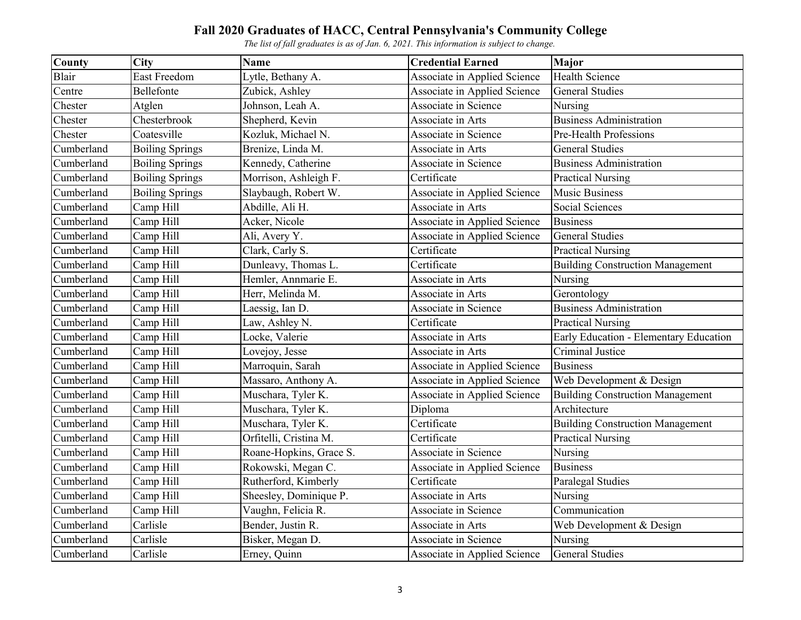| County     | <b>City</b>            | <b>Name</b>             | <b>Credential Earned</b>     | Major                                   |
|------------|------------------------|-------------------------|------------------------------|-----------------------------------------|
| Blair      | East Freedom           | Lytle, Bethany A.       | Associate in Applied Science | <b>Health Science</b>                   |
| Centre     | Bellefonte             | Zubick, Ashley          | Associate in Applied Science | <b>General Studies</b>                  |
| Chester    | Atglen                 | Johnson, Leah A.        | Associate in Science         | Nursing                                 |
| Chester    | Chesterbrook           | Shepherd, Kevin         | Associate in Arts            | <b>Business Administration</b>          |
| Chester    | Coatesville            | Kozluk, Michael N.      | Associate in Science         | Pre-Health Professions                  |
| Cumberland | <b>Boiling Springs</b> | Brenize, Linda M.       | Associate in Arts            | <b>General Studies</b>                  |
| Cumberland | <b>Boiling Springs</b> | Kennedy, Catherine      | Associate in Science         | <b>Business Administration</b>          |
| Cumberland | <b>Boiling Springs</b> | Morrison, Ashleigh F.   | Certificate                  | <b>Practical Nursing</b>                |
| Cumberland | <b>Boiling Springs</b> | Slaybaugh, Robert W.    | Associate in Applied Science | <b>Music Business</b>                   |
| Cumberland | Camp Hill              | Abdille, Ali H.         | Associate in Arts            | Social Sciences                         |
| Cumberland | Camp Hill              | Acker, Nicole           | Associate in Applied Science | <b>Business</b>                         |
| Cumberland | Camp Hill              | Ali, Avery Y.           | Associate in Applied Science | <b>General Studies</b>                  |
| Cumberland | Camp Hill              | Clark, Carly S.         | Certificate                  | <b>Practical Nursing</b>                |
| Cumberland | Camp Hill              | Dunleavy, Thomas L.     | Certificate                  | <b>Building Construction Management</b> |
| Cumberland | Camp Hill              | Hemler, Annmarie E.     | Associate in Arts            | Nursing                                 |
| Cumberland | Camp Hill              | Herr, Melinda M.        | Associate in Arts            | Gerontology                             |
| Cumberland | Camp Hill              | Laessig, Ian D.         | Associate in Science         | <b>Business Administration</b>          |
| Cumberland | Camp Hill              | Law, Ashley N.          | Certificate                  | <b>Practical Nursing</b>                |
| Cumberland | Camp Hill              | Locke, Valerie          | Associate in Arts            | Early Education - Elementary Education  |
| Cumberland | Camp Hill              | Lovejoy, Jesse          | Associate in Arts            | Criminal Justice                        |
| Cumberland | Camp Hill              | Marroquin, Sarah        | Associate in Applied Science | <b>Business</b>                         |
| Cumberland | Camp Hill              | Massaro, Anthony A.     | Associate in Applied Science | Web Development & Design                |
| Cumberland | Camp Hill              | Muschara, Tyler K.      | Associate in Applied Science | <b>Building Construction Management</b> |
| Cumberland | Camp Hill              | Muschara, Tyler K.      | Diploma                      | Architecture                            |
| Cumberland | Camp Hill              | Muschara, Tyler K.      | Certificate                  | <b>Building Construction Management</b> |
| Cumberland | Camp Hill              | Orfitelli, Cristina M.  | Certificate                  | <b>Practical Nursing</b>                |
| Cumberland | Camp Hill              | Roane-Hopkins, Grace S. | Associate in Science         | Nursing                                 |
| Cumberland | Camp Hill              | Rokowski, Megan C.      | Associate in Applied Science | <b>Business</b>                         |
| Cumberland | Camp Hill              | Rutherford, Kimberly    | Certificate                  | Paralegal Studies                       |
| Cumberland | Camp Hill              | Sheesley, Dominique P.  | Associate in Arts            | Nursing                                 |
| Cumberland | Camp Hill              | Vaughn, Felicia R.      | Associate in Science         | Communication                           |
| Cumberland | Carlisle               | Bender, Justin R.       | Associate in Arts            | Web Development & Design                |
| Cumberland | Carlisle               | Bisker, Megan D.        | Associate in Science         | Nursing                                 |
| Cumberland | Carlisle               | Erney, Quinn            | Associate in Applied Science | <b>General Studies</b>                  |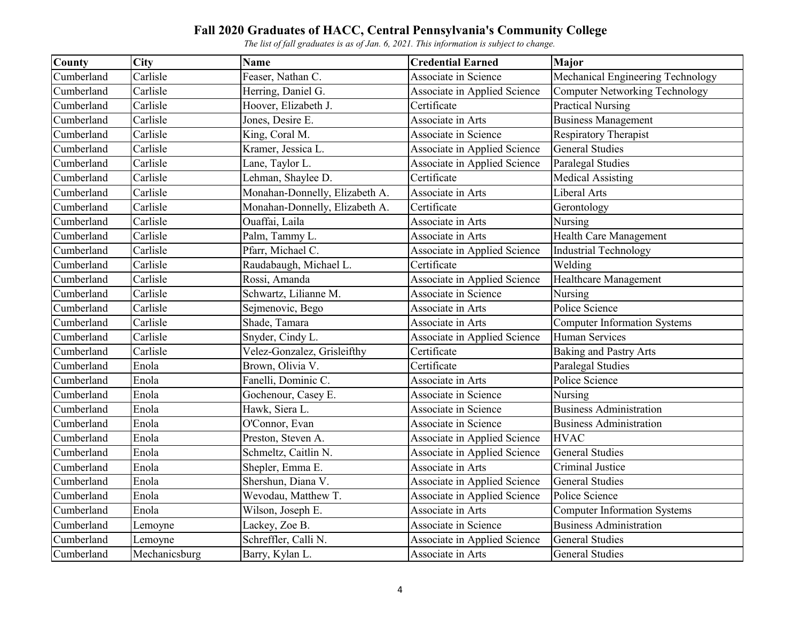| <b>County</b> | <b>City</b>   | <b>Name</b>                    | <b>Credential Earned</b>     | <b>Major</b>                        |
|---------------|---------------|--------------------------------|------------------------------|-------------------------------------|
| Cumberland    | Carlisle      | Feaser, Nathan C.              | Associate in Science         | Mechanical Engineering Technology   |
| Cumberland    | Carlisle      | Herring, Daniel G.             | Associate in Applied Science | Computer Networking Technology      |
| Cumberland    | Carlisle      | Hoover, Elizabeth J.           | Certificate                  | <b>Practical Nursing</b>            |
| Cumberland    | Carlisle      | Jones, Desire E.               | Associate in Arts            | <b>Business Management</b>          |
| Cumberland    | Carlisle      | King, Coral M.                 | Associate in Science         | Respiratory Therapist               |
| Cumberland    | Carlisle      | Kramer, Jessica L.             | Associate in Applied Science | <b>General Studies</b>              |
| Cumberland    | Carlisle      | Lane, Taylor L.                | Associate in Applied Science | Paralegal Studies                   |
| Cumberland    | Carlisle      | Lehman, Shaylee D.             | Certificate                  | <b>Medical Assisting</b>            |
| Cumberland    | Carlisle      | Monahan-Donnelly, Elizabeth A. | Associate in Arts            | Liberal Arts                        |
| Cumberland    | Carlisle      | Monahan-Donnelly, Elizabeth A. | Certificate                  | Gerontology                         |
| Cumberland    | Carlisle      | Ouaffai, Laila                 | Associate in Arts            | Nursing                             |
| Cumberland    | Carlisle      | Palm, Tammy L.                 | Associate in Arts            | Health Care Management              |
| Cumberland    | Carlisle      | Pfarr, Michael C.              | Associate in Applied Science | <b>Industrial Technology</b>        |
| Cumberland    | Carlisle      | Raudabaugh, Michael L.         | Certificate                  | Welding                             |
| Cumberland    | Carlisle      | Rossi, Amanda                  | Associate in Applied Science | Healthcare Management               |
| Cumberland    | Carlisle      | Schwartz, Lilianne M.          | Associate in Science         | Nursing                             |
| Cumberland    | Carlisle      | Sejmenovic, Bego               | Associate in Arts            | Police Science                      |
| Cumberland    | Carlisle      | Shade, Tamara                  | Associate in Arts            | <b>Computer Information Systems</b> |
| Cumberland    | Carlisle      | Snyder, Cindy L.               | Associate in Applied Science | <b>Human Services</b>               |
| Cumberland    | Carlisle      | Velez-Gonzalez, Grisleifthy    | Certificate                  | <b>Baking and Pastry Arts</b>       |
| Cumberland    | Enola         | Brown, Olivia V.               | Certificate                  | Paralegal Studies                   |
| Cumberland    | Enola         | Fanelli, Dominic C.            | Associate in Arts            | Police Science                      |
| Cumberland    | Enola         | Gochenour, Casey E.            | Associate in Science         | Nursing                             |
| Cumberland    | Enola         | Hawk, Siera L.                 | Associate in Science         | <b>Business Administration</b>      |
| Cumberland    | Enola         | O'Connor, Evan                 | Associate in Science         | <b>Business Administration</b>      |
| Cumberland    | Enola         | Preston, Steven A.             | Associate in Applied Science | <b>HVAC</b>                         |
| Cumberland    | Enola         | Schmeltz, Caitlin N.           | Associate in Applied Science | <b>General Studies</b>              |
| Cumberland    | Enola         | Shepler, Emma E.               | Associate in Arts            | Criminal Justice                    |
| Cumberland    | Enola         | Shershun, Diana V.             | Associate in Applied Science | <b>General Studies</b>              |
| Cumberland    | Enola         | Wevodau, Matthew T.            | Associate in Applied Science | Police Science                      |
| Cumberland    | Enola         | Wilson, Joseph E.              | Associate in Arts            | <b>Computer Information Systems</b> |
| Cumberland    | Lemoyne       | Lackey, Zoe B.                 | Associate in Science         | <b>Business Administration</b>      |
| Cumberland    | Lemoyne       | Schreffler, Calli N.           | Associate in Applied Science | <b>General Studies</b>              |
| Cumberland    | Mechanicsburg | Barry, Kylan L.                | Associate in Arts            | <b>General Studies</b>              |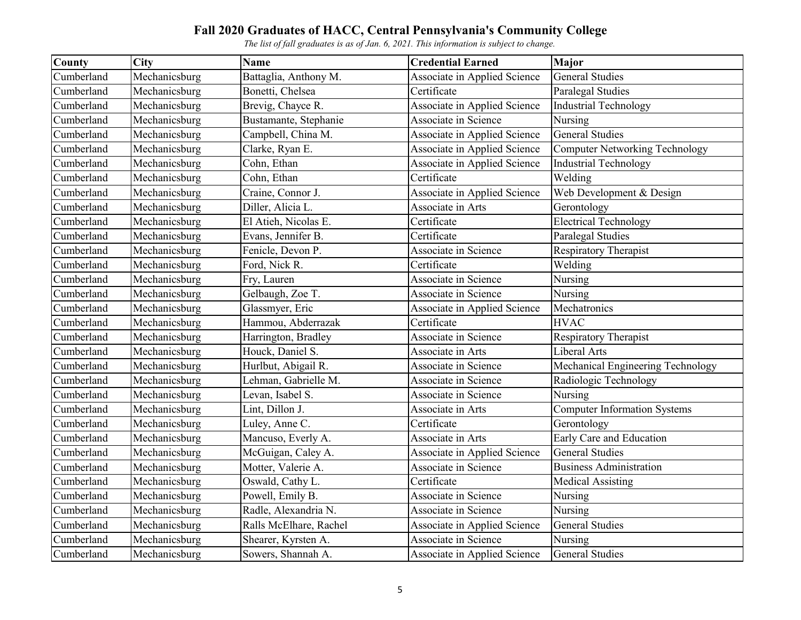| County     | <b>City</b>   | <b>Name</b>            | <b>Credential Earned</b>            | Major                                 |
|------------|---------------|------------------------|-------------------------------------|---------------------------------------|
| Cumberland | Mechanicsburg | Battaglia, Anthony M.  | Associate in Applied Science        | <b>General Studies</b>                |
| Cumberland | Mechanicsburg | Bonetti, Chelsea       | Certificate                         | <b>Paralegal Studies</b>              |
| Cumberland | Mechanicsburg | Brevig, Chayce R.      | Associate in Applied Science        | <b>Industrial Technology</b>          |
| Cumberland | Mechanicsburg | Bustamante, Stephanie  | Associate in Science                | Nursing                               |
| Cumberland | Mechanicsburg | Campbell, China M.     | Associate in Applied Science        | <b>General Studies</b>                |
| Cumberland | Mechanicsburg | Clarke, Ryan E.        | <b>Associate in Applied Science</b> | <b>Computer Networking Technology</b> |
| Cumberland | Mechanicsburg | Cohn, Ethan            | Associate in Applied Science        | <b>Industrial Technology</b>          |
| Cumberland | Mechanicsburg | Cohn, Ethan            | Certificate                         | Welding                               |
| Cumberland | Mechanicsburg | Craine, Connor J.      | Associate in Applied Science        | Web Development & Design              |
| Cumberland | Mechanicsburg | Diller, Alicia L.      | Associate in Arts                   | Gerontology                           |
| Cumberland | Mechanicsburg | El Atieh, Nicolas E.   | Certificate                         | <b>Electrical Technology</b>          |
| Cumberland | Mechanicsburg | Evans, Jennifer B.     | Certificate                         | Paralegal Studies                     |
| Cumberland | Mechanicsburg | Fenicle, Devon P.      | Associate in Science                | Respiratory Therapist                 |
| Cumberland | Mechanicsburg | Ford, Nick R.          | Certificate                         | Welding                               |
| Cumberland | Mechanicsburg | Fry, Lauren            | Associate in Science                | Nursing                               |
| Cumberland | Mechanicsburg | Gelbaugh, Zoe T.       | Associate in Science                | Nursing                               |
| Cumberland | Mechanicsburg | Glassmyer, Eric        | Associate in Applied Science        | Mechatronics                          |
| Cumberland | Mechanicsburg | Hammou, Abderrazak     | Certificate                         | <b>HVAC</b>                           |
| Cumberland | Mechanicsburg | Harrington, Bradley    | Associate in Science                | Respiratory Therapist                 |
| Cumberland | Mechanicsburg | Houck, Daniel S.       | Associate in Arts                   | Liberal Arts                          |
| Cumberland | Mechanicsburg | Hurlbut, Abigail R.    | Associate in Science                | Mechanical Engineering Technology     |
| Cumberland | Mechanicsburg | Lehman, Gabrielle M.   | Associate in Science                | Radiologic Technology                 |
| Cumberland | Mechanicsburg | Levan, Isabel S.       | Associate in Science                | Nursing                               |
| Cumberland | Mechanicsburg | Lint, Dillon J.        | Associate in Arts                   | <b>Computer Information Systems</b>   |
| Cumberland | Mechanicsburg | Luley, Anne C.         | Certificate                         | Gerontology                           |
| Cumberland | Mechanicsburg | Mancuso, Everly A.     | Associate in Arts                   | Early Care and Education              |
| Cumberland | Mechanicsburg | McGuigan, Caley A.     | Associate in Applied Science        | <b>General Studies</b>                |
| Cumberland | Mechanicsburg | Motter, Valerie A.     | Associate in Science                | <b>Business Administration</b>        |
| Cumberland | Mechanicsburg | Oswald, Cathy L.       | Certificate                         | <b>Medical Assisting</b>              |
| Cumberland | Mechanicsburg | Powell, Emily B.       | Associate in Science                | Nursing                               |
| Cumberland | Mechanicsburg | Radle, Alexandria N.   | Associate in Science                | Nursing                               |
| Cumberland | Mechanicsburg | Ralls McElhare, Rachel | Associate in Applied Science        | <b>General Studies</b>                |
| Cumberland | Mechanicsburg | Shearer, Kyrsten A.    | Associate in Science                | Nursing                               |
| Cumberland | Mechanicsburg | Sowers, Shannah A.     | Associate in Applied Science        | <b>General Studies</b>                |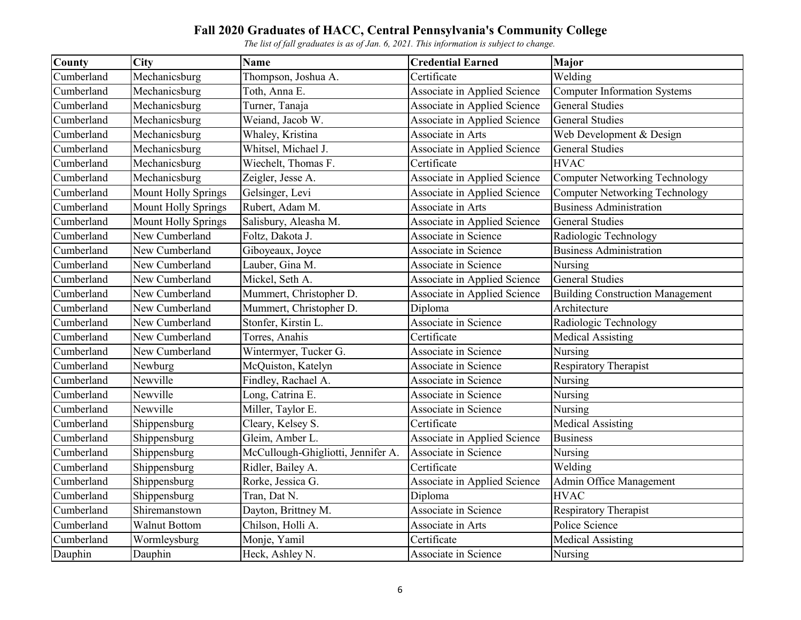| County     | <b>City</b>                | <b>Name</b>                        | <b>Credential Earned</b>     | Major                                   |
|------------|----------------------------|------------------------------------|------------------------------|-----------------------------------------|
| Cumberland | Mechanicsburg              | Thompson, Joshua A.                | Certificate                  | Welding                                 |
| Cumberland | Mechanicsburg              | Toth, Anna E.                      | Associate in Applied Science | <b>Computer Information Systems</b>     |
| Cumberland | Mechanicsburg              | Turner, Tanaja                     | Associate in Applied Science | <b>General Studies</b>                  |
| Cumberland | Mechanicsburg              | Weiand, Jacob W.                   | Associate in Applied Science | <b>General Studies</b>                  |
| Cumberland | Mechanicsburg              | Whaley, Kristina                   | Associate in Arts            | Web Development & Design                |
| Cumberland | Mechanicsburg              | Whitsel, Michael J.                | Associate in Applied Science | <b>General Studies</b>                  |
| Cumberland | Mechanicsburg              | Wiechelt, Thomas F.                | Certificate                  | <b>HVAC</b>                             |
| Cumberland | Mechanicsburg              | Zeigler, Jesse A.                  | Associate in Applied Science | <b>Computer Networking Technology</b>   |
| Cumberland | <b>Mount Holly Springs</b> | Gelsinger, Levi                    | Associate in Applied Science | <b>Computer Networking Technology</b>   |
| Cumberland | <b>Mount Holly Springs</b> | Rubert, Adam M.                    | Associate in Arts            | <b>Business Administration</b>          |
| Cumberland | <b>Mount Holly Springs</b> | Salisbury, Aleasha M.              | Associate in Applied Science | <b>General Studies</b>                  |
| Cumberland | New Cumberland             | Foltz, Dakota J.                   | Associate in Science         | Radiologic Technology                   |
| Cumberland | New Cumberland             | Giboyeaux, Joyce                   | Associate in Science         | <b>Business Administration</b>          |
| Cumberland | New Cumberland             | Lauber, Gina M.                    | Associate in Science         | Nursing                                 |
| Cumberland | New Cumberland             | Mickel, Seth A.                    | Associate in Applied Science | <b>General Studies</b>                  |
| Cumberland | New Cumberland             | Mummert, Christopher D.            | Associate in Applied Science | <b>Building Construction Management</b> |
| Cumberland | New Cumberland             | Mummert, Christopher D.            | Diploma                      | Architecture                            |
| Cumberland | New Cumberland             | Stonfer, Kirstin L.                | Associate in Science         | Radiologic Technology                   |
| Cumberland | New Cumberland             | Torres, Anahis                     | Certificate                  | <b>Medical Assisting</b>                |
| Cumberland | New Cumberland             | Wintermyer, Tucker G.              | Associate in Science         | Nursing                                 |
| Cumberland | Newburg                    | McQuiston, Katelyn                 | <b>Associate in Science</b>  | Respiratory Therapist                   |
| Cumberland | Newville                   | Findley, Rachael A.                | Associate in Science         | Nursing                                 |
| Cumberland | Newville                   | Long, Catrina E.                   | Associate in Science         | Nursing                                 |
| Cumberland | Newville                   | Miller, Taylor E.                  | Associate in Science         | Nursing                                 |
| Cumberland | Shippensburg               | Cleary, Kelsey S.                  | Certificate                  | <b>Medical Assisting</b>                |
| Cumberland | Shippensburg               | Gleim, Amber L.                    | Associate in Applied Science | <b>Business</b>                         |
| Cumberland | Shippensburg               | McCullough-Ghigliotti, Jennifer A. | Associate in Science         | Nursing                                 |
| Cumberland | Shippensburg               | Ridler, Bailey A.                  | Certificate                  | Welding                                 |
| Cumberland | Shippensburg               | Rorke, Jessica G.                  | Associate in Applied Science | Admin Office Management                 |
| Cumberland | Shippensburg               | Tran, Dat N.                       | Diploma                      | <b>HVAC</b>                             |
| Cumberland | Shiremanstown              | Dayton, Brittney M.                | Associate in Science         | Respiratory Therapist                   |
| Cumberland | <b>Walnut Bottom</b>       | Chilson, Holli A.                  | Associate in Arts            | Police Science                          |
| Cumberland | Wormleysburg               | Monje, Yamil                       | Certificate                  | <b>Medical Assisting</b>                |
| Dauphin    | Dauphin                    | Heck, Ashley N.                    | Associate in Science         | Nursing                                 |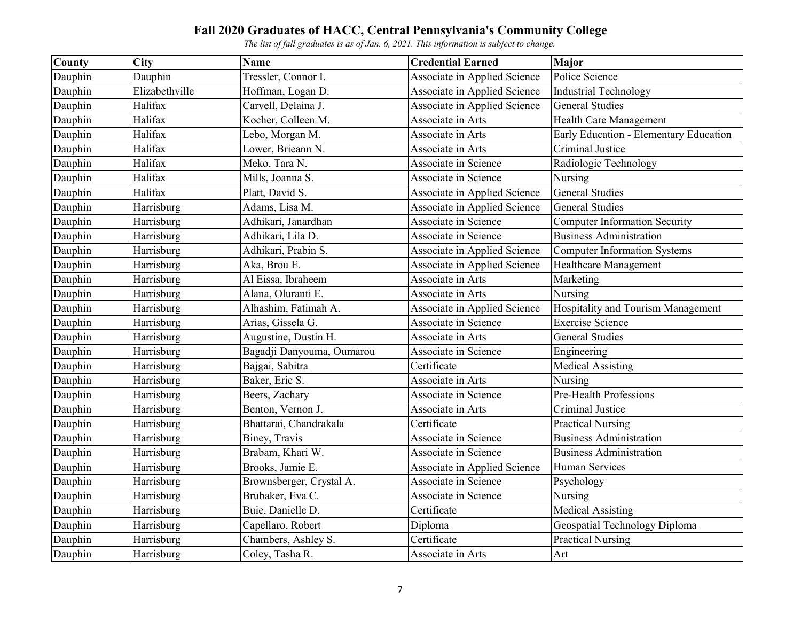| County  | <b>City</b>    | <b>Name</b>               | <b>Credential Earned</b>     | Major                                  |
|---------|----------------|---------------------------|------------------------------|----------------------------------------|
| Dauphin | Dauphin        | Tressler, Connor I.       | Associate in Applied Science | Police Science                         |
| Dauphin | Elizabethville | Hoffman, Logan D.         | Associate in Applied Science | <b>Industrial Technology</b>           |
| Dauphin | Halifax        | Carvell, Delaina J.       | Associate in Applied Science | <b>General Studies</b>                 |
| Dauphin | Halifax        | Kocher, Colleen M.        | Associate in Arts            | Health Care Management                 |
| Dauphin | Halifax        | Lebo, Morgan M.           | Associate in Arts            | Early Education - Elementary Education |
| Dauphin | Halifax        | Lower, Brieann N.         | Associate in Arts            | Criminal Justice                       |
| Dauphin | Halifax        | Meko, Tara N.             | Associate in Science         | Radiologic Technology                  |
| Dauphin | Halifax        | Mills, Joanna S.          | Associate in Science         | Nursing                                |
| Dauphin | Halifax        | Platt, David S.           | Associate in Applied Science | <b>General Studies</b>                 |
| Dauphin | Harrisburg     | Adams, Lisa M.            | Associate in Applied Science | <b>General Studies</b>                 |
| Dauphin | Harrisburg     | Adhikari, Janardhan       | Associate in Science         | <b>Computer Information Security</b>   |
| Dauphin | Harrisburg     | Adhikari, Lila D.         | Associate in Science         | <b>Business Administration</b>         |
| Dauphin | Harrisburg     | Adhikari, Prabin S.       | Associate in Applied Science | <b>Computer Information Systems</b>    |
| Dauphin | Harrisburg     | Aka, Brou E.              | Associate in Applied Science | Healthcare Management                  |
| Dauphin | Harrisburg     | Al Eissa, Ibraheem        | Associate in Arts            | Marketing                              |
| Dauphin | Harrisburg     | Alana, Oluranti E.        | Associate in Arts            | Nursing                                |
| Dauphin | Harrisburg     | Alhashim, Fatimah A.      | Associate in Applied Science | Hospitality and Tourism Management     |
| Dauphin | Harrisburg     | Arias, Gissela G.         | Associate in Science         | <b>Exercise Science</b>                |
| Dauphin | Harrisburg     | Augustine, Dustin H.      | Associate in Arts            | <b>General Studies</b>                 |
| Dauphin | Harrisburg     | Bagadji Danyouma, Oumarou | Associate in Science         | Engineering                            |
| Dauphin | Harrisburg     | Bajgai, Sabitra           | Certificate                  | <b>Medical Assisting</b>               |
| Dauphin | Harrisburg     | Baker, Eric S.            | Associate in Arts            | Nursing                                |
| Dauphin | Harrisburg     | Beers, Zachary            | Associate in Science         | Pre-Health Professions                 |
| Dauphin | Harrisburg     | Benton, Vernon J.         | Associate in Arts            | Criminal Justice                       |
| Dauphin | Harrisburg     | Bhattarai, Chandrakala    | Certificate                  | <b>Practical Nursing</b>               |
| Dauphin | Harrisburg     | Biney, Travis             | Associate in Science         | <b>Business Administration</b>         |
| Dauphin | Harrisburg     | Brabam, Khari W.          | Associate in Science         | <b>Business Administration</b>         |
| Dauphin | Harrisburg     | Brooks, Jamie E.          | Associate in Applied Science | Human Services                         |
| Dauphin | Harrisburg     | Brownsberger, Crystal A.  | Associate in Science         | Psychology                             |
| Dauphin | Harrisburg     | Brubaker, Eva C.          | Associate in Science         | Nursing                                |
| Dauphin | Harrisburg     | Buie, Danielle D.         | Certificate                  | <b>Medical Assisting</b>               |
| Dauphin | Harrisburg     | Capellaro, Robert         | Diploma                      | Geospatial Technology Diploma          |
| Dauphin | Harrisburg     | Chambers, Ashley S.       | Certificate                  | <b>Practical Nursing</b>               |
| Dauphin | Harrisburg     | Coley, Tasha R.           | Associate in Arts            | Art                                    |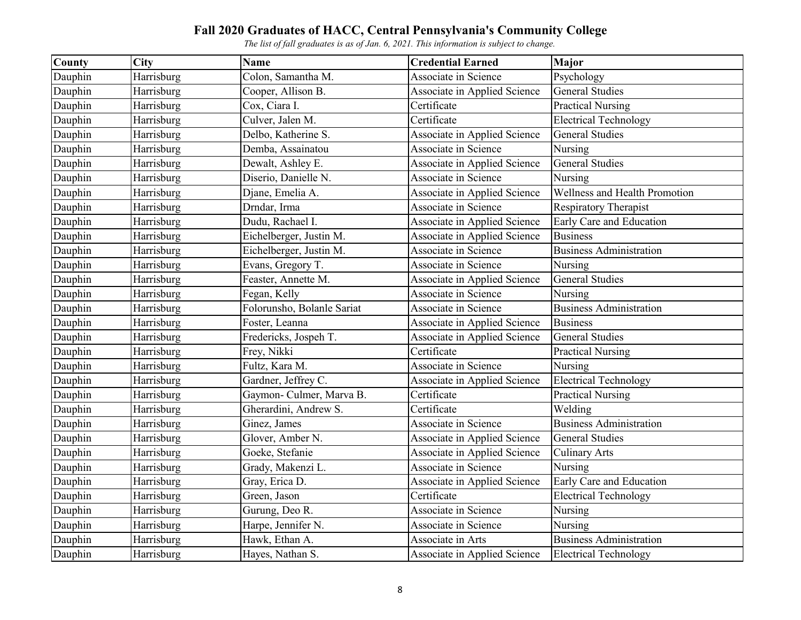| County  | <b>City</b> | <b>Name</b>                | <b>Credential Earned</b>     | Major                          |
|---------|-------------|----------------------------|------------------------------|--------------------------------|
| Dauphin | Harrisburg  | Colon, Samantha M.         | Associate in Science         | Psychology                     |
| Dauphin | Harrisburg  | Cooper, Allison B.         | Associate in Applied Science | <b>General Studies</b>         |
| Dauphin | Harrisburg  | Cox, Ciara I.              | Certificate                  | <b>Practical Nursing</b>       |
| Dauphin | Harrisburg  | Culver, Jalen M.           | Certificate                  | <b>Electrical Technology</b>   |
| Dauphin | Harrisburg  | Delbo, Katherine S.        | Associate in Applied Science | <b>General Studies</b>         |
| Dauphin | Harrisburg  | Demba, Assainatou          | Associate in Science         | Nursing                        |
| Dauphin | Harrisburg  | Dewalt, Ashley E.          | Associate in Applied Science | <b>General Studies</b>         |
| Dauphin | Harrisburg  | Diserio, Danielle N.       | Associate in Science         | Nursing                        |
| Dauphin | Harrisburg  | Djane, Emelia A.           | Associate in Applied Science | Wellness and Health Promotion  |
| Dauphin | Harrisburg  | Drndar, Irma               | Associate in Science         | Respiratory Therapist          |
| Dauphin | Harrisburg  | Dudu, Rachael I.           | Associate in Applied Science | Early Care and Education       |
| Dauphin | Harrisburg  | Eichelberger, Justin M.    | Associate in Applied Science | <b>Business</b>                |
| Dauphin | Harrisburg  | Eichelberger, Justin M.    | Associate in Science         | <b>Business Administration</b> |
| Dauphin | Harrisburg  | Evans, Gregory T.          | Associate in Science         | Nursing                        |
| Dauphin | Harrisburg  | Feaster, Annette M.        | Associate in Applied Science | <b>General Studies</b>         |
| Dauphin | Harrisburg  | Fegan, Kelly               | Associate in Science         | Nursing                        |
| Dauphin | Harrisburg  | Folorunsho, Bolanle Sariat | Associate in Science         | <b>Business Administration</b> |
| Dauphin | Harrisburg  | Foster, Leanna             | Associate in Applied Science | <b>Business</b>                |
| Dauphin | Harrisburg  | Fredericks, Jospeh T.      | Associate in Applied Science | <b>General Studies</b>         |
| Dauphin | Harrisburg  | Frey, Nikki                | Certificate                  | <b>Practical Nursing</b>       |
| Dauphin | Harrisburg  | Fultz, Kara M.             | Associate in Science         | Nursing                        |
| Dauphin | Harrisburg  | Gardner, Jeffrey C.        | Associate in Applied Science | <b>Electrical Technology</b>   |
| Dauphin | Harrisburg  | Gaymon- Culmer, Marva B.   | Certificate                  | <b>Practical Nursing</b>       |
| Dauphin | Harrisburg  | Gherardini, Andrew S.      | Certificate                  | Welding                        |
| Dauphin | Harrisburg  | Ginez, James               | Associate in Science         | <b>Business Administration</b> |
| Dauphin | Harrisburg  | Glover, Amber N.           | Associate in Applied Science | <b>General Studies</b>         |
| Dauphin | Harrisburg  | Goeke, Stefanie            | Associate in Applied Science | <b>Culinary Arts</b>           |
| Dauphin | Harrisburg  | Grady, Makenzi L.          | Associate in Science         | Nursing                        |
| Dauphin | Harrisburg  | Gray, Erica D.             | Associate in Applied Science | Early Care and Education       |
| Dauphin | Harrisburg  | Green, Jason               | Certificate                  | <b>Electrical Technology</b>   |
| Dauphin | Harrisburg  | Gurung, Deo R.             | Associate in Science         | Nursing                        |
| Dauphin | Harrisburg  | Harpe, Jennifer N.         | Associate in Science         | Nursing                        |
| Dauphin | Harrisburg  | Hawk, Ethan A.             | Associate in Arts            | <b>Business Administration</b> |
| Dauphin | Harrisburg  | Hayes, Nathan S.           | Associate in Applied Science | <b>Electrical Technology</b>   |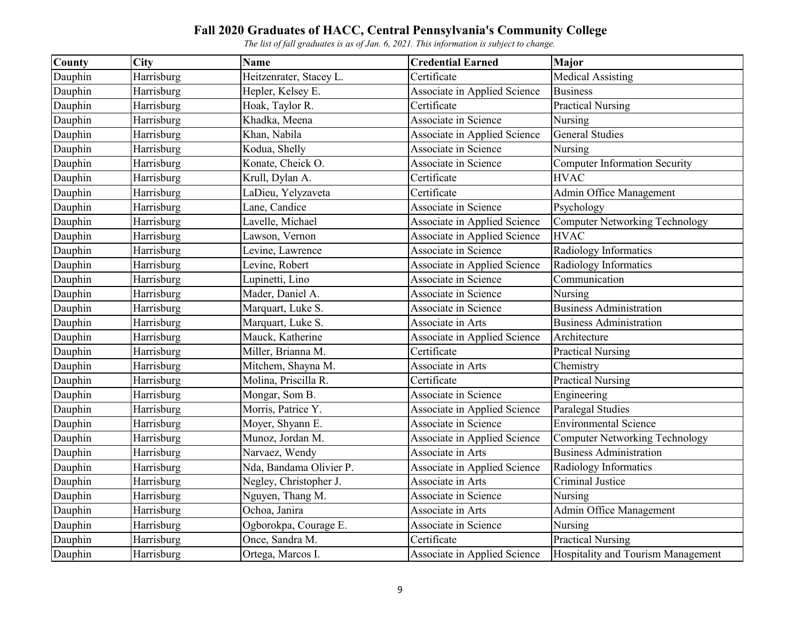| County  | <b>City</b> | <b>Name</b>             | <b>Credential Earned</b>            | Major                                 |
|---------|-------------|-------------------------|-------------------------------------|---------------------------------------|
| Dauphin | Harrisburg  | Heitzenrater, Stacey L. | Certificate                         | Medical Assisting                     |
| Dauphin | Harrisburg  | Hepler, Kelsey E.       | Associate in Applied Science        | <b>Business</b>                       |
| Dauphin | Harrisburg  | Hoak, Taylor R.         | Certificate                         | <b>Practical Nursing</b>              |
| Dauphin | Harrisburg  | Khadka, Meena           | Associate in Science                | Nursing                               |
| Dauphin | Harrisburg  | Khan, Nabila            | Associate in Applied Science        | <b>General Studies</b>                |
| Dauphin | Harrisburg  | Kodua, Shelly           | Associate in Science                | Nursing                               |
| Dauphin | Harrisburg  | Konate, Cheick O.       | Associate in Science                | <b>Computer Information Security</b>  |
| Dauphin | Harrisburg  | Krull, Dylan A.         | Certificate                         | <b>HVAC</b>                           |
| Dauphin | Harrisburg  | LaDieu, Yelyzaveta      | Certificate                         | Admin Office Management               |
| Dauphin | Harrisburg  | Lane, Candice           | Associate in Science                | Psychology                            |
| Dauphin | Harrisburg  | Lavelle, Michael        | Associate in Applied Science        | Computer Networking Technology        |
| Dauphin | Harrisburg  | Lawson, Vernon          | Associate in Applied Science        | <b>HVAC</b>                           |
| Dauphin | Harrisburg  | Levine, Lawrence        | Associate in Science                | Radiology Informatics                 |
| Dauphin | Harrisburg  | Levine, Robert          | <b>Associate in Applied Science</b> | Radiology Informatics                 |
| Dauphin | Harrisburg  | Lupinetti, Lino         | Associate in Science                | Communication                         |
| Dauphin | Harrisburg  | Mader, Daniel A.        | Associate in Science                | Nursing                               |
| Dauphin | Harrisburg  | Marquart, Luke S.       | Associate in Science                | Business Administration               |
| Dauphin | Harrisburg  | Marquart, Luke S.       | Associate in Arts                   | <b>Business Administration</b>        |
| Dauphin | Harrisburg  | Mauck, Katherine        | Associate in Applied Science        | Architecture                          |
| Dauphin | Harrisburg  | Miller, Brianna M.      | Certificate                         | <b>Practical Nursing</b>              |
| Dauphin | Harrisburg  | Mitchem, Shayna M.      | Associate in Arts                   | Chemistry                             |
| Dauphin | Harrisburg  | Molina, Priscilla R.    | Certificate                         | <b>Practical Nursing</b>              |
| Dauphin | Harrisburg  | Mongar, Som B.          | Associate in Science                | Engineering                           |
| Dauphin | Harrisburg  | Morris, Patrice Y.      | Associate in Applied Science        | Paralegal Studies                     |
| Dauphin | Harrisburg  | Moyer, Shyann E.        | Associate in Science                | <b>Environmental Science</b>          |
| Dauphin | Harrisburg  | Munoz, Jordan M.        | Associate in Applied Science        | <b>Computer Networking Technology</b> |
| Dauphin | Harrisburg  | Narvaez, Wendy          | Associate in Arts                   | <b>Business Administration</b>        |
| Dauphin | Harrisburg  | Nda, Bandama Olivier P. | Associate in Applied Science        | Radiology Informatics                 |
| Dauphin | Harrisburg  | Negley, Christopher J.  | Associate in Arts                   | Criminal Justice                      |
| Dauphin | Harrisburg  | Nguyen, Thang M.        | Associate in Science                | Nursing                               |
| Dauphin | Harrisburg  | Ochoa, Janira           | Associate in Arts                   | Admin Office Management               |
| Dauphin | Harrisburg  | Ogborokpa, Courage E.   | Associate in Science                | Nursing                               |
| Dauphin | Harrisburg  | Once, Sandra M.         | Certificate                         | <b>Practical Nursing</b>              |
| Dauphin | Harrisburg  | Ortega, Marcos I.       | Associate in Applied Science        | Hospitality and Tourism Management    |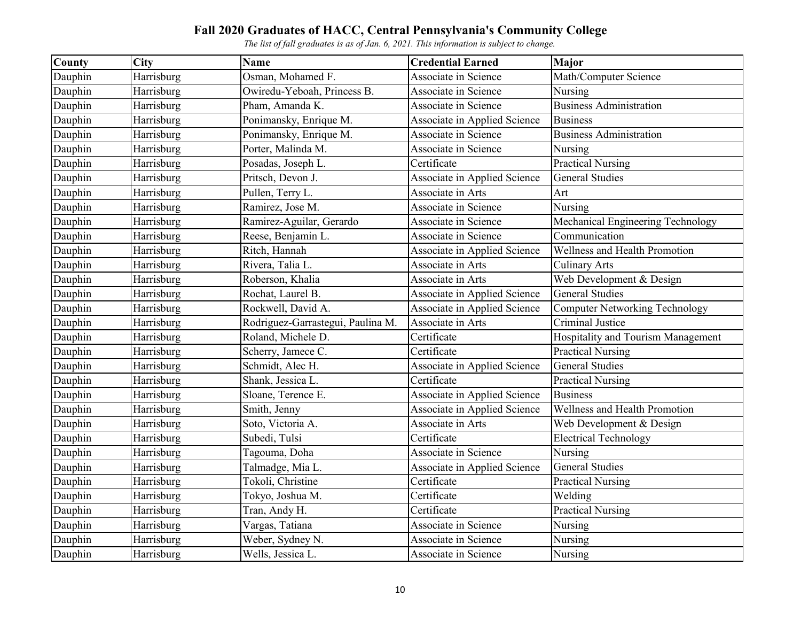| County  | <b>City</b> | <b>Name</b>                       | <b>Credential Earned</b>     | Major                                 |
|---------|-------------|-----------------------------------|------------------------------|---------------------------------------|
| Dauphin | Harrisburg  | Osman, Mohamed F.                 | Associate in Science         | Math/Computer Science                 |
| Dauphin | Harrisburg  | Owiredu-Yeboah, Princess B.       | Associate in Science         | Nursing                               |
| Dauphin | Harrisburg  | Pham, Amanda K.                   | Associate in Science         | <b>Business Administration</b>        |
| Dauphin | Harrisburg  | Ponimansky, Enrique M.            | Associate in Applied Science | <b>Business</b>                       |
| Dauphin | Harrisburg  | Ponimansky, Enrique M.            | Associate in Science         | <b>Business Administration</b>        |
| Dauphin | Harrisburg  | Porter, Malinda M.                | Associate in Science         | Nursing                               |
| Dauphin | Harrisburg  | Posadas, Joseph L.                | Certificate                  | <b>Practical Nursing</b>              |
| Dauphin | Harrisburg  | Pritsch, Devon J.                 | Associate in Applied Science | <b>General Studies</b>                |
| Dauphin | Harrisburg  | Pullen, Terry L.                  | Associate in Arts            | Art                                   |
| Dauphin | Harrisburg  | Ramirez, Jose M.                  | Associate in Science         | Nursing                               |
| Dauphin | Harrisburg  | Ramirez-Aguilar, Gerardo          | Associate in Science         | Mechanical Engineering Technology     |
| Dauphin | Harrisburg  | Reese, Benjamin L.                | Associate in Science         | Communication                         |
| Dauphin | Harrisburg  | Ritch, Hannah                     | Associate in Applied Science | Wellness and Health Promotion         |
| Dauphin | Harrisburg  | Rivera, Talia L.                  | Associate in Arts            | <b>Culinary Arts</b>                  |
| Dauphin | Harrisburg  | Roberson, Khalia                  | Associate in Arts            | Web Development & Design              |
| Dauphin | Harrisburg  | Rochat, Laurel B.                 | Associate in Applied Science | <b>General Studies</b>                |
| Dauphin | Harrisburg  | Rockwell, David A.                | Associate in Applied Science | <b>Computer Networking Technology</b> |
| Dauphin | Harrisburg  | Rodriguez-Garrastegui, Paulina M. | Associate in Arts            | Criminal Justice                      |
| Dauphin | Harrisburg  | Roland, Michele D.                | Certificate                  | Hospitality and Tourism Management    |
| Dauphin | Harrisburg  | Scherry, Jamece C.                | Certificate                  | <b>Practical Nursing</b>              |
| Dauphin | Harrisburg  | Schmidt, Alec H.                  | Associate in Applied Science | <b>General Studies</b>                |
| Dauphin | Harrisburg  | Shank, Jessica L.                 | Certificate                  | <b>Practical Nursing</b>              |
| Dauphin | Harrisburg  | Sloane, Terence E.                | Associate in Applied Science | <b>Business</b>                       |
| Dauphin | Harrisburg  | Smith, Jenny                      | Associate in Applied Science | Wellness and Health Promotion         |
| Dauphin | Harrisburg  | Soto, Victoria A.                 | Associate in Arts            | Web Development & Design              |
| Dauphin | Harrisburg  | Subedi, Tulsi                     | Certificate                  | <b>Electrical Technology</b>          |
| Dauphin | Harrisburg  | Tagouma, Doha                     | Associate in Science         | Nursing                               |
| Dauphin | Harrisburg  | Talmadge, Mia L.                  | Associate in Applied Science | <b>General Studies</b>                |
| Dauphin | Harrisburg  | Tokoli, Christine                 | Certificate                  | <b>Practical Nursing</b>              |
| Dauphin | Harrisburg  | Tokyo, Joshua M.                  | Certificate                  | Welding                               |
| Dauphin | Harrisburg  | Tran, Andy H.                     | Certificate                  | <b>Practical Nursing</b>              |
| Dauphin | Harrisburg  | Vargas, Tatiana                   | Associate in Science         | Nursing                               |
| Dauphin | Harrisburg  | Weber, Sydney N.                  | Associate in Science         | Nursing                               |
| Dauphin | Harrisburg  | Wells, Jessica L.                 | Associate in Science         | Nursing                               |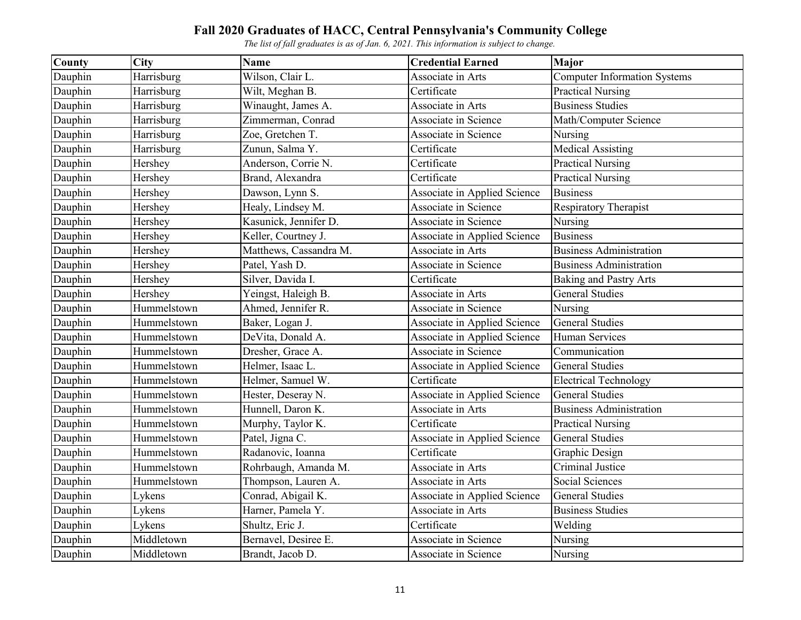| County  | <b>City</b> | <b>Name</b>            | <b>Credential Earned</b>     | Major                               |
|---------|-------------|------------------------|------------------------------|-------------------------------------|
| Dauphin | Harrisburg  | Wilson, Clair L.       | Associate in Arts            | <b>Computer Information Systems</b> |
| Dauphin | Harrisburg  | Wilt, Meghan B.        | Certificate                  | <b>Practical Nursing</b>            |
| Dauphin | Harrisburg  | Winaught, James A.     | Associate in Arts            | <b>Business Studies</b>             |
| Dauphin | Harrisburg  | Zimmerman, Conrad      | Associate in Science         | Math/Computer Science               |
| Dauphin | Harrisburg  | Zoe, Gretchen T.       | Associate in Science         | Nursing                             |
| Dauphin | Harrisburg  | Zunun, Salma Y.        | Certificate                  | Medical Assisting                   |
| Dauphin | Hershey     | Anderson, Corrie N.    | Certificate                  | <b>Practical Nursing</b>            |
| Dauphin | Hershey     | Brand, Alexandra       | Certificate                  | <b>Practical Nursing</b>            |
| Dauphin | Hershey     | Dawson, Lynn S.        | Associate in Applied Science | <b>Business</b>                     |
| Dauphin | Hershey     | Healy, Lindsey M.      | Associate in Science         | <b>Respiratory Therapist</b>        |
| Dauphin | Hershey     | Kasunick, Jennifer D.  | Associate in Science         | Nursing                             |
| Dauphin | Hershey     | Keller, Courtney J.    | Associate in Applied Science | <b>Business</b>                     |
| Dauphin | Hershey     | Matthews, Cassandra M. | Associate in Arts            | <b>Business Administration</b>      |
| Dauphin | Hershey     | Patel, Yash D.         | Associate in Science         | <b>Business Administration</b>      |
| Dauphin | Hershey     | Silver, Davida I.      | Certificate                  | <b>Baking and Pastry Arts</b>       |
| Dauphin | Hershey     | Yeingst, Haleigh B.    | Associate in Arts            | <b>General Studies</b>              |
| Dauphin | Hummelstown | Ahmed, Jennifer R.     | Associate in Science         | Nursing                             |
| Dauphin | Hummelstown | Baker, Logan J.        | Associate in Applied Science | <b>General Studies</b>              |
| Dauphin | Hummelstown | DeVita, Donald A.      | Associate in Applied Science | Human Services                      |
| Dauphin | Hummelstown | Dresher, Grace A.      | Associate in Science         | Communication                       |
| Dauphin | Hummelstown | Helmer, Isaac L.       | Associate in Applied Science | <b>General Studies</b>              |
| Dauphin | Hummelstown | Helmer, Samuel W.      | Certificate                  | <b>Electrical Technology</b>        |
| Dauphin | Hummelstown | Hester, Deseray N.     | Associate in Applied Science | <b>General Studies</b>              |
| Dauphin | Hummelstown | Hunnell, Daron K.      | Associate in Arts            | <b>Business Administration</b>      |
| Dauphin | Hummelstown | Murphy, Taylor K.      | Certificate                  | <b>Practical Nursing</b>            |
| Dauphin | Hummelstown | Patel, Jigna C.        | Associate in Applied Science | <b>General Studies</b>              |
| Dauphin | Hummelstown | Radanovic, Ioanna      | Certificate                  | Graphic Design                      |
| Dauphin | Hummelstown | Rohrbaugh, Amanda M.   | Associate in Arts            | Criminal Justice                    |
| Dauphin | Hummelstown | Thompson, Lauren A.    | Associate in Arts            | Social Sciences                     |
| Dauphin | Lykens      | Conrad, Abigail K.     | Associate in Applied Science | <b>General Studies</b>              |
| Dauphin | Lykens      | Harner, Pamela Y.      | Associate in Arts            | <b>Business Studies</b>             |
| Dauphin | Lykens      | Shultz, Eric J.        | Certificate                  | Welding                             |
| Dauphin | Middletown  | Bernavel, Desiree E.   | Associate in Science         | Nursing                             |
| Dauphin | Middletown  | Brandt, Jacob D.       | Associate in Science         | Nursing                             |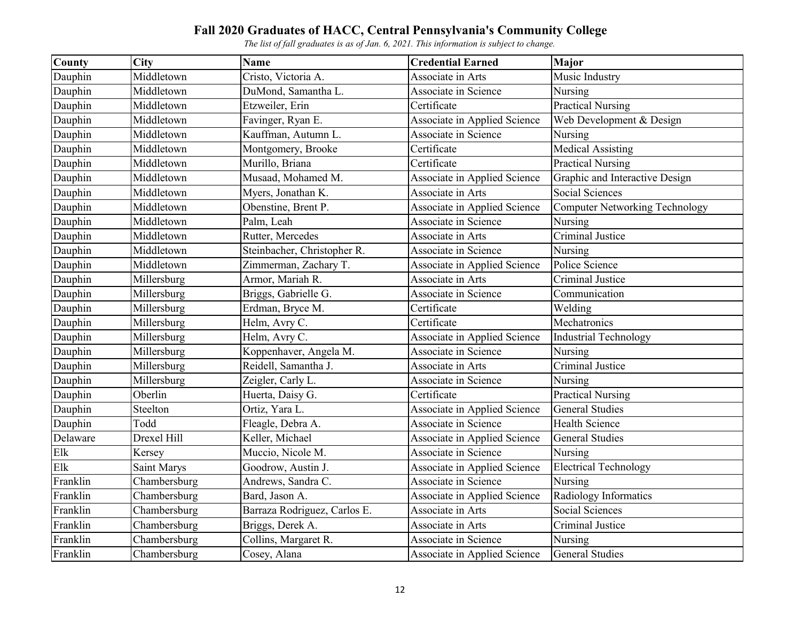| County   | <b>City</b>  | <b>Name</b>                  | <b>Credential Earned</b>     | Major                                 |
|----------|--------------|------------------------------|------------------------------|---------------------------------------|
| Dauphin  | Middletown   | Cristo, Victoria A.          | Associate in Arts            | Music Industry                        |
| Dauphin  | Middletown   | DuMond, Samantha L.          | Associate in Science         | Nursing                               |
| Dauphin  | Middletown   | Etzweiler, Erin              | Certificate                  | <b>Practical Nursing</b>              |
| Dauphin  | Middletown   | Favinger, Ryan E.            | Associate in Applied Science | Web Development & Design              |
| Dauphin  | Middletown   | Kauffman, Autumn L.          | Associate in Science         | Nursing                               |
| Dauphin  | Middletown   | Montgomery, Brooke           | Certificate                  | <b>Medical Assisting</b>              |
| Dauphin  | Middletown   | Murillo, Briana              | Certificate                  | <b>Practical Nursing</b>              |
| Dauphin  | Middletown   | Musaad, Mohamed M.           | Associate in Applied Science | Graphic and Interactive Design        |
| Dauphin  | Middletown   | Myers, Jonathan K.           | Associate in Arts            | Social Sciences                       |
| Dauphin  | Middletown   | Obenstine, Brent P.          | Associate in Applied Science | <b>Computer Networking Technology</b> |
| Dauphin  | Middletown   | Palm, Leah                   | Associate in Science         | Nursing                               |
| Dauphin  | Middletown   | Rutter, Mercedes             | Associate in Arts            | Criminal Justice                      |
| Dauphin  | Middletown   | Steinbacher, Christopher R.  | Associate in Science         | Nursing                               |
| Dauphin  | Middletown   | Zimmerman, Zachary T.        | Associate in Applied Science | Police Science                        |
| Dauphin  | Millersburg  | Armor, Mariah R.             | Associate in Arts            | Criminal Justice                      |
| Dauphin  | Millersburg  | Briggs, Gabrielle G.         | Associate in Science         | Communication                         |
| Dauphin  | Millersburg  | Erdman, Bryce M.             | Certificate                  | Welding                               |
| Dauphin  | Millersburg  | Helm, Avry C.                | Certificate                  | Mechatronics                          |
| Dauphin  | Millersburg  | Helm, Avry C.                | Associate in Applied Science | <b>Industrial Technology</b>          |
| Dauphin  | Millersburg  | Koppenhaver, Angela M.       | Associate in Science         | Nursing                               |
| Dauphin  | Millersburg  | Reidell, Samantha J.         | Associate in Arts            | <b>Criminal Justice</b>               |
| Dauphin  | Millersburg  | Zeigler, Carly L.            | Associate in Science         | Nursing                               |
| Dauphin  | Oberlin      | Huerta, Daisy G.             | Certificate                  | <b>Practical Nursing</b>              |
| Dauphin  | Steelton     | Ortiz, Yara L.               | Associate in Applied Science | <b>General Studies</b>                |
| Dauphin  | Todd         | Fleagle, Debra A.            | Associate in Science         | <b>Health Science</b>                 |
| Delaware | Drexel Hill  | Keller, Michael              | Associate in Applied Science | <b>General Studies</b>                |
| Elk      | Kersey       | Muccio, Nicole M.            | Associate in Science         | Nursing                               |
| Elk      | Saint Marys  | Goodrow, Austin J.           | Associate in Applied Science | <b>Electrical Technology</b>          |
| Franklin | Chambersburg | Andrews, Sandra C.           | Associate in Science         | Nursing                               |
| Franklin | Chambersburg | Bard, Jason A.               | Associate in Applied Science | Radiology Informatics                 |
| Franklin | Chambersburg | Barraza Rodriguez, Carlos E. | Associate in Arts            | <b>Social Sciences</b>                |
| Franklin | Chambersburg | Briggs, Derek A.             | Associate in Arts            | Criminal Justice                      |
| Franklin | Chambersburg | Collins, Margaret R.         | Associate in Science         | Nursing                               |
| Franklin | Chambersburg | Cosey, Alana                 | Associate in Applied Science | <b>General Studies</b>                |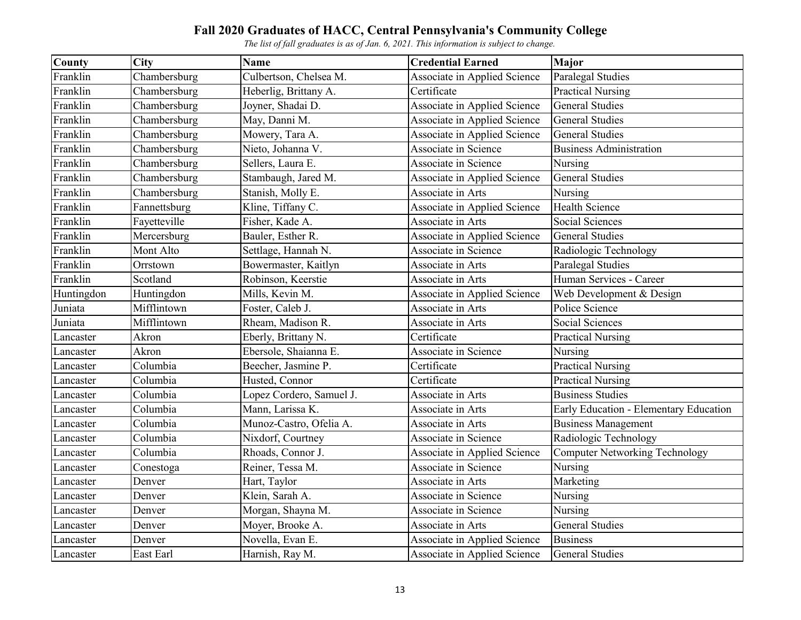| <b>County</b> | <b>City</b>  | <b>Name</b>              | <b>Credential Earned</b>     | Major                                  |
|---------------|--------------|--------------------------|------------------------------|----------------------------------------|
| Franklin      | Chambersburg | Culbertson, Chelsea M.   | Associate in Applied Science | Paralegal Studies                      |
| Franklin      | Chambersburg | Heberlig, Brittany A.    | Certificate                  | <b>Practical Nursing</b>               |
| Franklin      | Chambersburg | Joyner, Shadai D.        | Associate in Applied Science | <b>General Studies</b>                 |
| Franklin      | Chambersburg | May, Danni M.            | Associate in Applied Science | <b>General Studies</b>                 |
| Franklin      | Chambersburg | Mowery, Tara A.          | Associate in Applied Science | <b>General Studies</b>                 |
| Franklin      | Chambersburg | Nieto, Johanna V.        | Associate in Science         | <b>Business Administration</b>         |
| Franklin      | Chambersburg | Sellers, Laura E.        | Associate in Science         | Nursing                                |
| Franklin      | Chambersburg | Stambaugh, Jared M.      | Associate in Applied Science | <b>General Studies</b>                 |
| Franklin      | Chambersburg | Stanish, Molly E.        | Associate in Arts            | Nursing                                |
| Franklin      | Fannettsburg | Kline, Tiffany C.        | Associate in Applied Science | <b>Health Science</b>                  |
| Franklin      | Fayetteville | Fisher, Kade A.          | Associate in Arts            | Social Sciences                        |
| Franklin      | Mercersburg  | Bauler, Esther R.        | Associate in Applied Science | <b>General Studies</b>                 |
| Franklin      | Mont Alto    | Settlage, Hannah N.      | Associate in Science         | Radiologic Technology                  |
| Franklin      | Orrstown     | Bowermaster, Kaitlyn     | Associate in Arts            | Paralegal Studies                      |
| Franklin      | Scotland     | Robinson, Keerstie       | Associate in Arts            | Human Services - Career                |
| Huntingdon    | Huntingdon   | Mills, Kevin M.          | Associate in Applied Science | Web Development & Design               |
| Juniata       | Mifflintown  | Foster, Caleb J.         | Associate in Arts            | Police Science                         |
| Juniata       | Mifflintown  | Rheam, Madison R.        | Associate in Arts            | <b>Social Sciences</b>                 |
| Lancaster     | Akron        | Eberly, Brittany N.      | Certificate                  | <b>Practical Nursing</b>               |
| Lancaster     | Akron        | Ebersole, Shaianna E.    | Associate in Science         | Nursing                                |
| Lancaster     | Columbia     | Beecher, Jasmine P.      | Certificate                  | <b>Practical Nursing</b>               |
| Lancaster     | Columbia     | Husted, Connor           | Certificate                  | <b>Practical Nursing</b>               |
| Lancaster     | Columbia     | Lopez Cordero, Samuel J. | Associate in Arts            | <b>Business Studies</b>                |
| Lancaster     | Columbia     | Mann, Larissa K.         | Associate in Arts            | Early Education - Elementary Education |
| Lancaster     | Columbia     | Munoz-Castro, Ofelia A.  | Associate in Arts            | <b>Business Management</b>             |
| Lancaster     | Columbia     | Nixdorf, Courtney        | Associate in Science         | Radiologic Technology                  |
| Lancaster     | Columbia     | Rhoads, Connor J.        | Associate in Applied Science | Computer Networking Technology         |
| Lancaster     | Conestoga    | Reiner, Tessa M.         | Associate in Science         | Nursing                                |
| Lancaster     | Denver       | Hart, Taylor             | Associate in Arts            | Marketing                              |
| Lancaster     | Denver       | Klein, Sarah A.          | Associate in Science         | Nursing                                |
| Lancaster     | Denver       | Morgan, Shayna M.        | <b>Associate in Science</b>  | Nursing                                |
| Lancaster     | Denver       | Moyer, Brooke A.         | Associate in Arts            | <b>General Studies</b>                 |
| Lancaster     | Denver       | Novella, Evan E.         | Associate in Applied Science | <b>Business</b>                        |
| Lancaster     | East Earl    | Harnish, Ray M.          | Associate in Applied Science | <b>General Studies</b>                 |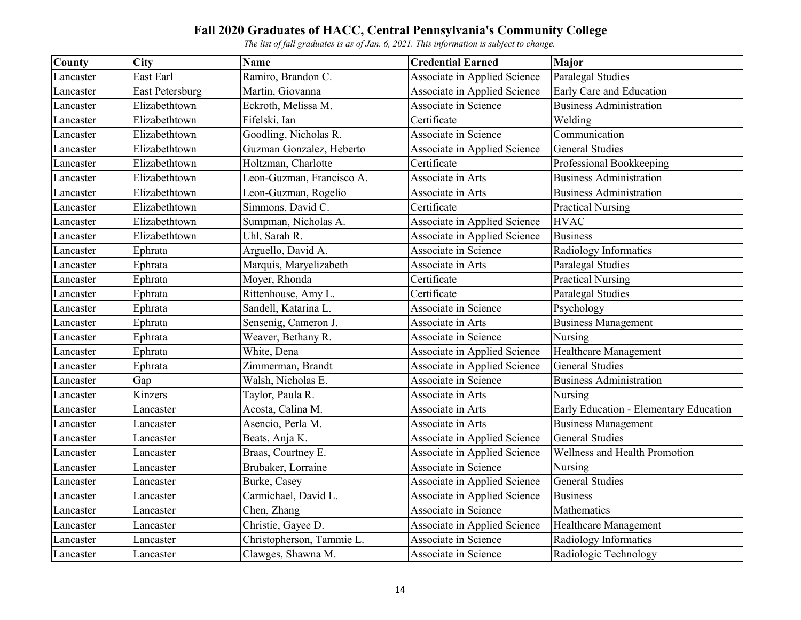| County    | <b>City</b>            | Name                      | <b>Credential Earned</b>            | Major                                  |
|-----------|------------------------|---------------------------|-------------------------------------|----------------------------------------|
| Lancaster | East Earl              | Ramiro, Brandon C.        | Associate in Applied Science        | Paralegal Studies                      |
| Lancaster | <b>East Petersburg</b> | Martin, Giovanna          | Associate in Applied Science        | Early Care and Education               |
| Lancaster | Elizabethtown          | Eckroth, Melissa M.       | Associate in Science                | <b>Business Administration</b>         |
| Lancaster | Elizabethtown          | Fifelski, Ian             | Certificate                         | Welding                                |
| Lancaster | Elizabethtown          | Goodling, Nicholas R.     | Associate in Science                | Communication                          |
| Lancaster | Elizabethtown          | Guzman Gonzalez, Heberto  | <b>Associate in Applied Science</b> | <b>General Studies</b>                 |
| Lancaster | Elizabethtown          | Holtzman, Charlotte       | Certificate                         | Professional Bookkeeping               |
| Lancaster | Elizabethtown          | Leon-Guzman, Francisco A. | Associate in Arts                   | <b>Business Administration</b>         |
| Lancaster | Elizabethtown          | Leon-Guzman, Rogelio      | Associate in Arts                   | <b>Business Administration</b>         |
| Lancaster | Elizabethtown          | Simmons, David C.         | Certificate                         | <b>Practical Nursing</b>               |
| Lancaster | Elizabethtown          | Sumpman, Nicholas A.      | Associate in Applied Science        | <b>HVAC</b>                            |
| Lancaster | Elizabethtown          | Uhl, Sarah R.             | Associate in Applied Science        | <b>Business</b>                        |
| Lancaster | Ephrata                | Arguello, David A.        | Associate in Science                | Radiology Informatics                  |
| Lancaster | Ephrata                | Marquis, Maryelizabeth    | Associate in Arts                   | Paralegal Studies                      |
| Lancaster | Ephrata                | Moyer, Rhonda             | Certificate                         | <b>Practical Nursing</b>               |
| Lancaster | Ephrata                | Rittenhouse, Amy L.       | Certificate                         | Paralegal Studies                      |
| Lancaster | Ephrata                | Sandell, Katarina L.      | Associate in Science                | Psychology                             |
| Lancaster | Ephrata                | Sensenig, Cameron J.      | Associate in Arts                   | <b>Business Management</b>             |
| Lancaster | Ephrata                | Weaver, Bethany R.        | Associate in Science                | Nursing                                |
| Lancaster | Ephrata                | White, Dena               | Associate in Applied Science        | Healthcare Management                  |
| Lancaster | Ephrata                | Zimmerman, Brandt         | Associate in Applied Science        | <b>General Studies</b>                 |
| Lancaster | Gap                    | Walsh, Nicholas E.        | Associate in Science                | <b>Business Administration</b>         |
| Lancaster | Kinzers                | Taylor, Paula R.          | Associate in Arts                   | Nursing                                |
| Lancaster | Lancaster              | Acosta, Calina M.         | Associate in Arts                   | Early Education - Elementary Education |
| Lancaster | Lancaster              | Asencio, Perla M.         | Associate in Arts                   | <b>Business Management</b>             |
| Lancaster | Lancaster              | Beats, Anja K.            | Associate in Applied Science        | <b>General Studies</b>                 |
| Lancaster | Lancaster              | Braas, Courtney E.        | Associate in Applied Science        | Wellness and Health Promotion          |
| Lancaster | Lancaster              | Brubaker, Lorraine        | Associate in Science                | Nursing                                |
| Lancaster | Lancaster              | Burke, Casey              | Associate in Applied Science        | <b>General Studies</b>                 |
| Lancaster | Lancaster              | Carmichael, David L.      | Associate in Applied Science        | <b>Business</b>                        |
| Lancaster | Lancaster              | Chen, Zhang               | Associate in Science                | Mathematics                            |
| Lancaster | Lancaster              | Christie, Gayee D.        | Associate in Applied Science        | Healthcare Management                  |
| Lancaster | Lancaster              | Christopherson, Tammie L. | Associate in Science                | Radiology Informatics                  |
| Lancaster | Lancaster              | Clawges, Shawna M.        | Associate in Science                | Radiologic Technology                  |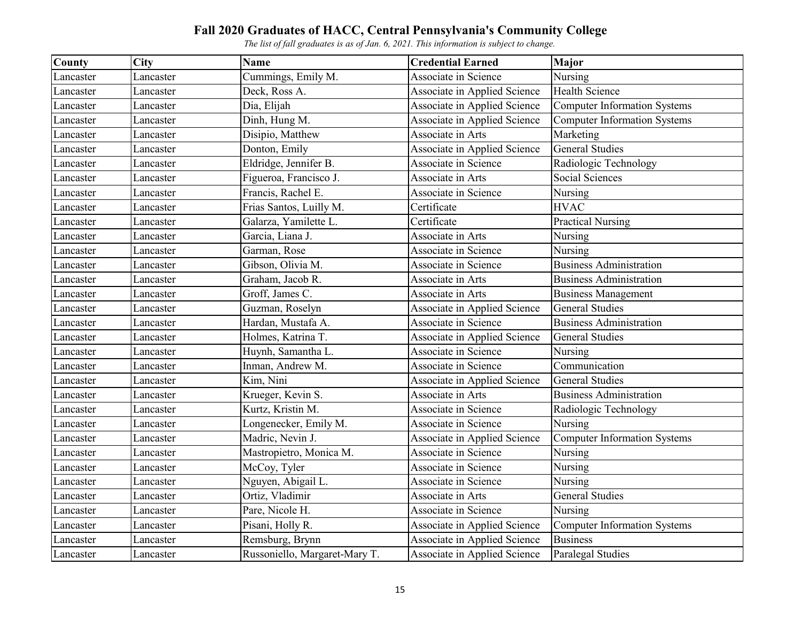| County    | City      | <b>Name</b>                   | <b>Credential Earned</b>     | Major                               |
|-----------|-----------|-------------------------------|------------------------------|-------------------------------------|
| Lancaster | Lancaster | Cummings, Emily M.            | Associate in Science         | Nursing                             |
| Lancaster | Lancaster | Deck, Ross A.                 | Associate in Applied Science | <b>Health Science</b>               |
| Lancaster | Lancaster | Dia, Elijah                   | Associate in Applied Science | <b>Computer Information Systems</b> |
| Lancaster | Lancaster | Dinh, Hung M.                 | Associate in Applied Science | <b>Computer Information Systems</b> |
| Lancaster | Lancaster | Disipio, Matthew              | Associate in Arts            | Marketing                           |
| Lancaster | Lancaster | Donton, Emily                 | Associate in Applied Science | <b>General Studies</b>              |
| Lancaster | Lancaster | Eldridge, Jennifer B.         | Associate in Science         | Radiologic Technology               |
| Lancaster | Lancaster | Figueroa, Francisco J.        | Associate in Arts            | Social Sciences                     |
| Lancaster | Lancaster | Francis, Rachel E.            | Associate in Science         | Nursing                             |
| Lancaster | Lancaster | Frias Santos, Luilly M.       | Certificate                  | <b>HVAC</b>                         |
| Lancaster | Lancaster | Galarza, Yamilette L.         | Certificate                  | <b>Practical Nursing</b>            |
| Lancaster | Lancaster | Garcia, Liana J.              | Associate in Arts            | Nursing                             |
| Lancaster | Lancaster | Garman, Rose                  | Associate in Science         | Nursing                             |
| Lancaster | Lancaster | Gibson, Olivia M.             | Associate in Science         | <b>Business Administration</b>      |
| Lancaster | Lancaster | Graham, Jacob R.              | Associate in Arts            | <b>Business Administration</b>      |
| Lancaster | Lancaster | Groff, James C.               | Associate in Arts            | <b>Business Management</b>          |
| Lancaster | Lancaster | Guzman, Roselyn               | Associate in Applied Science | <b>General Studies</b>              |
| Lancaster | Lancaster | Hardan, Mustafa A.            | Associate in Science         | <b>Business Administration</b>      |
| Lancaster | Lancaster | Holmes, Katrina T.            | Associate in Applied Science | <b>General Studies</b>              |
| Lancaster | Lancaster | Huynh, Samantha L.            | Associate in Science         | Nursing                             |
| Lancaster | Lancaster | Inman, Andrew M.              | Associate in Science         | Communication                       |
| Lancaster | Lancaster | Kim, Nini                     | Associate in Applied Science | <b>General Studies</b>              |
| Lancaster | Lancaster | Krueger, Kevin S.             | Associate in Arts            | <b>Business Administration</b>      |
| Lancaster | Lancaster | Kurtz, Kristin M.             | Associate in Science         | Radiologic Technology               |
| Lancaster | Lancaster | Longenecker, Emily M.         | Associate in Science         | Nursing                             |
| Lancaster | Lancaster | Madric, Nevin J.              | Associate in Applied Science | Computer Information Systems        |
| Lancaster | Lancaster | Mastropietro, Monica M.       | Associate in Science         | Nursing                             |
| Lancaster | Lancaster | McCoy, Tyler                  | Associate in Science         | Nursing                             |
| Lancaster | Lancaster | Nguyen, Abigail L.            | Associate in Science         | Nursing                             |
| Lancaster | Lancaster | Ortiz, Vladimir               | Associate in Arts            | <b>General Studies</b>              |
| Lancaster | Lancaster | Pare, Nicole H.               | Associate in Science         | Nursing                             |
| Lancaster | Lancaster | Pisani, Holly R.              | Associate in Applied Science | <b>Computer Information Systems</b> |
| Lancaster | Lancaster | Remsburg, Brynn               | Associate in Applied Science | <b>Business</b>                     |
| Lancaster | Lancaster | Russoniello, Margaret-Mary T. | Associate in Applied Science | Paralegal Studies                   |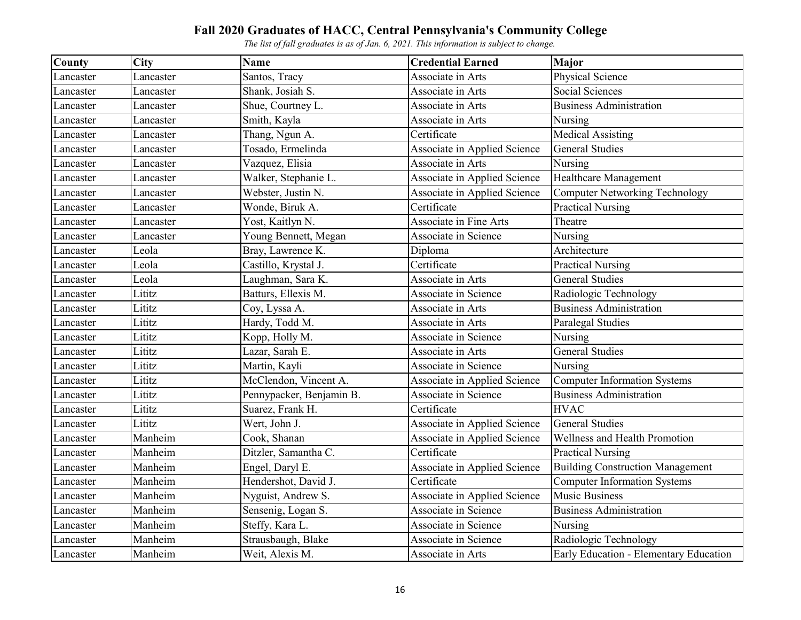| County    | City      | Name                     | <b>Credential Earned</b>     | Major                                   |
|-----------|-----------|--------------------------|------------------------------|-----------------------------------------|
| Lancaster | Lancaster | Santos, Tracy            | Associate in Arts            | Physical Science                        |
| Lancaster | Lancaster | Shank, Josiah S.         | Associate in Arts            | Social Sciences                         |
| Lancaster | Lancaster | Shue, Courtney L.        | Associate in Arts            | <b>Business Administration</b>          |
| Lancaster | Lancaster | Smith, Kayla             | Associate in Arts            | Nursing                                 |
| Lancaster | Lancaster | Thang, Ngun A.           | Certificate                  | <b>Medical Assisting</b>                |
| Lancaster | Lancaster | Tosado, Ermelinda        | Associate in Applied Science | <b>General Studies</b>                  |
| Lancaster | Lancaster | Vazquez, Elisia          | Associate in Arts            | Nursing                                 |
| Lancaster | Lancaster | Walker, Stephanie L.     | Associate in Applied Science | Healthcare Management                   |
| Lancaster | Lancaster | Webster, Justin N.       | Associate in Applied Science | Computer Networking Technology          |
| Lancaster | Lancaster | Wonde, Biruk A.          | Certificate                  | <b>Practical Nursing</b>                |
| Lancaster | Lancaster | Yost, Kaitlyn N.         | Associate in Fine Arts       | Theatre                                 |
| Lancaster | Lancaster | Young Bennett, Megan     | Associate in Science         | Nursing                                 |
| Lancaster | Leola     | Bray, Lawrence K.        | Diploma                      | Architecture                            |
| Lancaster | Leola     | Castillo, Krystal J.     | Certificate                  | <b>Practical Nursing</b>                |
| Lancaster | Leola     | Laughman, Sara K.        | Associate in Arts            | <b>General Studies</b>                  |
| Lancaster | Lititz    | Batturs, Ellexis M.      | Associate in Science         | Radiologic Technology                   |
| Lancaster | Lititz    | Coy, Lyssa A.            | Associate in Arts            | <b>Business Administration</b>          |
| Lancaster | Lititz    | Hardy, Todd M.           | Associate in Arts            | Paralegal Studies                       |
| Lancaster | Lititz    | Kopp, Holly M.           | Associate in Science         | Nursing                                 |
| Lancaster | Lititz    | Lazar, Sarah E.          | Associate in Arts            | <b>General Studies</b>                  |
| Lancaster | Lititz    | Martin, Kayli            | Associate in Science         | Nursing                                 |
| Lancaster | Lititz    | McClendon, Vincent A.    | Associate in Applied Science | Computer Information Systems            |
| Lancaster | Lititz    | Pennypacker, Benjamin B. | Associate in Science         | <b>Business Administration</b>          |
| Lancaster | Lititz    | Suarez, Frank H.         | Certificate                  | <b>HVAC</b>                             |
| Lancaster | Lititz    | Wert, John J.            | Associate in Applied Science | <b>General Studies</b>                  |
| Lancaster | Manheim   | Cook, Shanan             | Associate in Applied Science | Wellness and Health Promotion           |
| Lancaster | Manheim   | Ditzler, Samantha C.     | Certificate                  | <b>Practical Nursing</b>                |
| Lancaster | Manheim   | Engel, Daryl E.          | Associate in Applied Science | <b>Building Construction Management</b> |
| Lancaster | Manheim   | Hendershot, David J.     | Certificate                  | <b>Computer Information Systems</b>     |
| Lancaster | Manheim   | Nyguist, Andrew S.       | Associate in Applied Science | <b>Music Business</b>                   |
| Lancaster | Manheim   | Sensenig, Logan S.       | Associate in Science         | <b>Business Administration</b>          |
| Lancaster | Manheim   | Steffy, Kara L.          | Associate in Science         | Nursing                                 |
| Lancaster | Manheim   | Strausbaugh, Blake       | Associate in Science         | Radiologic Technology                   |
| Lancaster | Manheim   | Weit, Alexis M.          | Associate in Arts            | Early Education - Elementary Education  |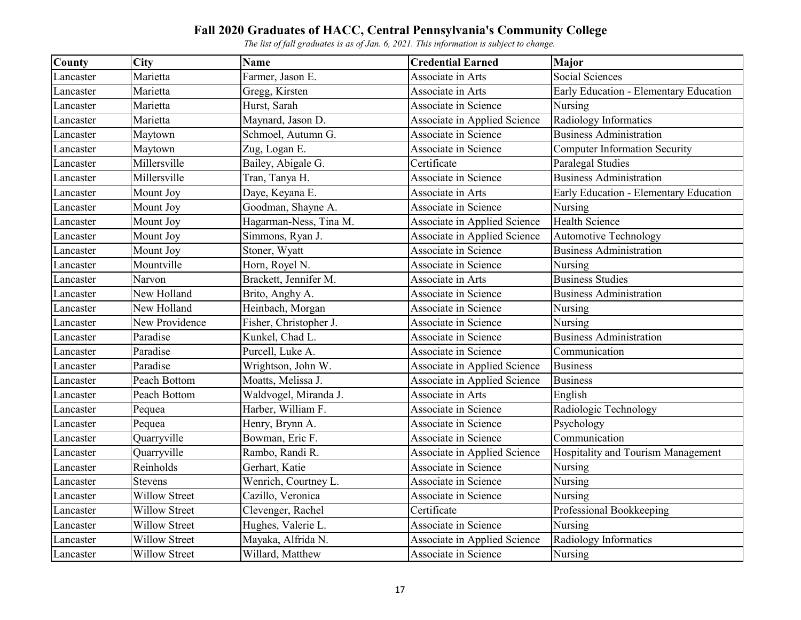| County    | <b>City</b>          | <b>Name</b>            | <b>Credential Earned</b>     | Major                                  |
|-----------|----------------------|------------------------|------------------------------|----------------------------------------|
| Lancaster | Marietta             | Farmer, Jason E.       | Associate in Arts            | Social Sciences                        |
| Lancaster | Marietta             | Gregg, Kirsten         | Associate in Arts            | Early Education - Elementary Education |
| Lancaster | Marietta             | Hurst, Sarah           | Associate in Science         | Nursing                                |
| Lancaster | Marietta             | Maynard, Jason D.      | Associate in Applied Science | Radiology Informatics                  |
| Lancaster | Maytown              | Schmoel, Autumn G.     | Associate in Science         | <b>Business Administration</b>         |
| Lancaster | Maytown              | Zug, Logan E.          | Associate in Science         | <b>Computer Information Security</b>   |
| Lancaster | Millersville         | Bailey, Abigale G.     | Certificate                  | Paralegal Studies                      |
| Lancaster | Millersville         | Tran, Tanya H.         | Associate in Science         | <b>Business Administration</b>         |
| Lancaster | Mount Joy            | Daye, Keyana E.        | Associate in Arts            | Early Education - Elementary Education |
| Lancaster | Mount Joy            | Goodman, Shayne A.     | Associate in Science         | Nursing                                |
| Lancaster | Mount Joy            | Hagarman-Ness, Tina M. | Associate in Applied Science | <b>Health Science</b>                  |
| Lancaster | Mount Joy            | Simmons, Ryan J.       | Associate in Applied Science | <b>Automotive Technology</b>           |
| Lancaster | Mount Joy            | Stoner, Wyatt          | Associate in Science         | <b>Business Administration</b>         |
| Lancaster | Mountville           | Horn, Royel N.         | Associate in Science         | Nursing                                |
| Lancaster | Narvon               | Brackett, Jennifer M.  | Associate in Arts            | <b>Business Studies</b>                |
| Lancaster | New Holland          | Brito, Anghy A.        | Associate in Science         | <b>Business Administration</b>         |
| Lancaster | New Holland          | Heinbach, Morgan       | Associate in Science         | Nursing                                |
| Lancaster | New Providence       | Fisher, Christopher J. | Associate in Science         | Nursing                                |
| Lancaster | Paradise             | Kunkel, Chad L.        | Associate in Science         | <b>Business Administration</b>         |
| Lancaster | Paradise             | Purcell, Luke A.       | Associate in Science         | Communication                          |
| Lancaster | Paradise             | Wrightson, John W.     | Associate in Applied Science | <b>Business</b>                        |
| Lancaster | Peach Bottom         | Moatts, Melissa J.     | Associate in Applied Science | <b>Business</b>                        |
| Lancaster | Peach Bottom         | Waldvogel, Miranda J.  | Associate in Arts            | English                                |
| Lancaster | Pequea               | Harber, William F.     | Associate in Science         | Radiologic Technology                  |
| Lancaster | Pequea               | Henry, Brynn A.        | Associate in Science         | Psychology                             |
| Lancaster | Quarryville          | Bowman, Eric F.        | Associate in Science         | Communication                          |
| Lancaster | Quarryville          | Rambo, Randi R.        | Associate in Applied Science | Hospitality and Tourism Management     |
| Lancaster | Reinholds            | Gerhart, Katie         | Associate in Science         | Nursing                                |
| Lancaster | Stevens              | Wenrich, Courtney L.   | Associate in Science         | Nursing                                |
| Lancaster | <b>Willow Street</b> | Cazillo, Veronica      | Associate in Science         | Nursing                                |
| Lancaster | <b>Willow Street</b> | Clevenger, Rachel      | Certificate                  | Professional Bookkeeping               |
| Lancaster | <b>Willow Street</b> | Hughes, Valerie L.     | Associate in Science         | Nursing                                |
| Lancaster | <b>Willow Street</b> | Mayaka, Alfrida N.     | Associate in Applied Science | Radiology Informatics                  |
| Lancaster | <b>Willow Street</b> | Willard, Matthew       | Associate in Science         | Nursing                                |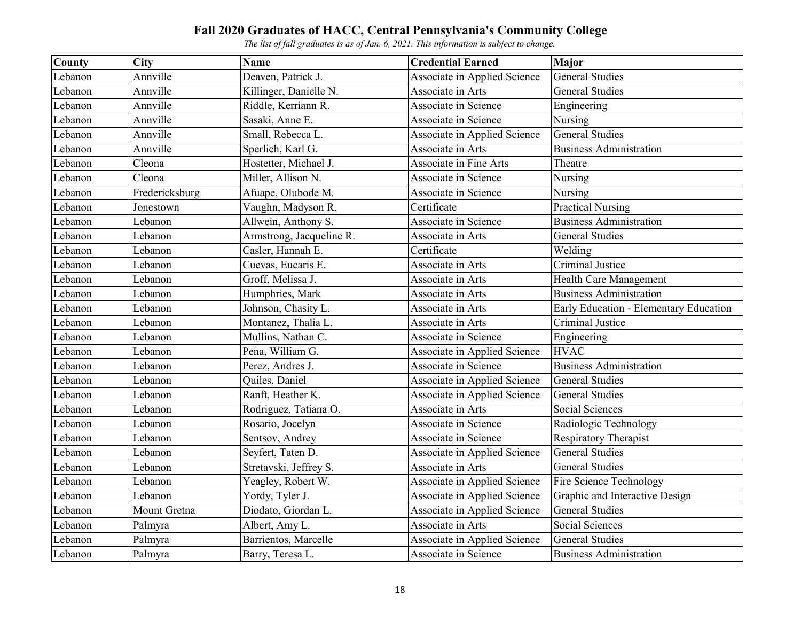| County  | City           | <b>Name</b>              | <b>Credential Earned</b>      | <b>Major</b>                           |
|---------|----------------|--------------------------|-------------------------------|----------------------------------------|
| Lebanon | Annville       | Deaven, Patrick J.       | Associate in Applied Science  | <b>General Studies</b>                 |
| Lebanon | Annville       | Killinger, Danielle N.   | Associate in Arts             | <b>General Studies</b>                 |
| Lebanon | Annville       | Riddle, Kerriann R.      | Associate in Science          | Engineering                            |
| Lebanon | Annville       | Sasaki, Anne E.          | Associate in Science          | Nursing                                |
| Lebanon | Annville       | Small, Rebecca L.        | Associate in Applied Science  | <b>General Studies</b>                 |
| Lebanon | Annville       | Sperlich, Karl G.        | Associate in Arts             | <b>Business Administration</b>         |
| Lebanon | Cleona         | Hostetter, Michael J.    | <b>Associate in Fine Arts</b> | Theatre                                |
| Lebanon | Cleona         | Miller, Allison N.       | Associate in Science          | Nursing                                |
| Lebanon | Fredericksburg | Afuape, Olubode M.       | Associate in Science          | Nursing                                |
| Lebanon | Jonestown      | Vaughn, Madyson R.       | Certificate                   | <b>Practical Nursing</b>               |
| Lebanon | Lebanon        | Allwein, Anthony S.      | Associate in Science          | <b>Business Administration</b>         |
| Lebanon | Lebanon        | Armstrong, Jacqueline R. | Associate in Arts             | <b>General Studies</b>                 |
| Lebanon | Lebanon        | Casler, Hannah E.        | Certificate                   | Welding                                |
| Lebanon | Lebanon        | Cuevas, Eucaris E.       | Associate in Arts             | Criminal Justice                       |
| Lebanon | Lebanon        | Groff, Melissa J.        | Associate in Arts             | Health Care Management                 |
| Lebanon | Lebanon        | Humphries, Mark          | Associate in Arts             | <b>Business Administration</b>         |
| Lebanon | Lebanon        | Johnson, Chasity L.      | Associate in Arts             | Early Education - Elementary Education |
| Lebanon | Lebanon        | Montanez, Thalia L.      | Associate in Arts             | <b>Criminal Justice</b>                |
| Lebanon | Lebanon        | Mullins, Nathan C.       | Associate in Science          | Engineering                            |
| Lebanon | Lebanon        | Pena, William G.         | Associate in Applied Science  | <b>HVAC</b>                            |
| Lebanon | Lebanon        | Perez, Andres J.         | Associate in Science          | <b>Business Administration</b>         |
| Lebanon | Lebanon        | Quiles, Daniel           | Associate in Applied Science  | <b>General Studies</b>                 |
| Lebanon | Lebanon        | Ranft, Heather K.        | Associate in Applied Science  | <b>General Studies</b>                 |
| Lebanon | Lebanon        | Rodriguez, Tatiana O.    | Associate in Arts             | Social Sciences                        |
| Lebanon | Lebanon        | Rosario, Jocelyn         | Associate in Science          | Radiologic Technology                  |
| Lebanon | Lebanon        | Sentsov, Andrey          | Associate in Science          | <b>Respiratory Therapist</b>           |
| Lebanon | Lebanon        | Seyfert, Taten D.        | Associate in Applied Science  | <b>General Studies</b>                 |
| Lebanon | Lebanon        | Stretavski, Jeffrey S.   | Associate in Arts             | <b>General Studies</b>                 |
| Lebanon | Lebanon        | Yeagley, Robert W.       | Associate in Applied Science  | Fire Science Technology                |
| Lebanon | Lebanon        | Yordy, Tyler J.          | Associate in Applied Science  | Graphic and Interactive Design         |
| Lebanon | Mount Gretna   | Diodato, Giordan L.      | Associate in Applied Science  | <b>General Studies</b>                 |
| Lebanon | Palmyra        | Albert, Amy L.           | Associate in Arts             | Social Sciences                        |
| Lebanon | Palmyra        | Barrientos, Marcelle     | Associate in Applied Science  | <b>General Studies</b>                 |
| Lebanon | Palmyra        | Barry, Teresa L.         | Associate in Science          | <b>Business Administration</b>         |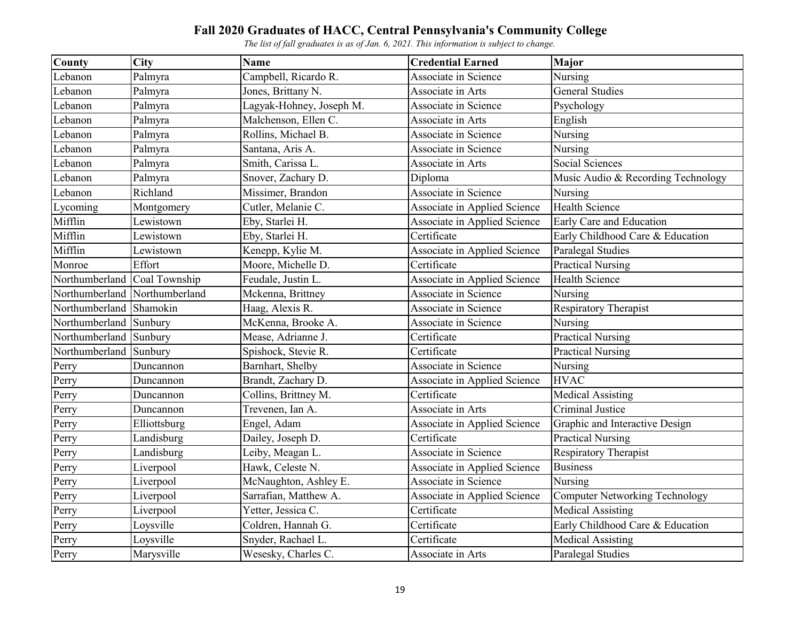| <b>County</b>  | <b>City</b>    | <b>Name</b>              | <b>Credential Earned</b>     | <b>Major</b>                          |
|----------------|----------------|--------------------------|------------------------------|---------------------------------------|
| Lebanon        | Palmyra        | Campbell, Ricardo R.     | Associate in Science         | Nursing                               |
| Lebanon        | Palmyra        | Jones, Brittany N.       | Associate in Arts            | <b>General Studies</b>                |
| Lebanon        | Palmyra        | Lagyak-Hohney, Joseph M. | Associate in Science         | Psychology                            |
| Lebanon        | Palmyra        | Malchenson, Ellen C.     | Associate in Arts            | English                               |
| Lebanon        | Palmyra        | Rollins, Michael B.      | Associate in Science         | Nursing                               |
| Lebanon        | Palmyra        | Santana, Aris A.         | Associate in Science         | Nursing                               |
| Lebanon        | Palmyra        | Smith, Carissa L.        | Associate in Arts            | Social Sciences                       |
| Lebanon        | Palmyra        | Snover, Zachary D.       | Diploma                      | Music Audio & Recording Technology    |
| Lebanon        | Richland       | Missimer, Brandon        | Associate in Science         | Nursing                               |
| Lycoming       | Montgomery     | Cutler, Melanie C.       | Associate in Applied Science | <b>Health Science</b>                 |
| Mifflin        | Lewistown      | Eby, Starlei H.          | Associate in Applied Science | Early Care and Education              |
| Mifflin        | Lewistown      | Eby, Starlei H.          | Certificate                  | Early Childhood Care & Education      |
| Mifflin        | Lewistown      | Kenepp, Kylie M.         | Associate in Applied Science | Paralegal Studies                     |
| Monroe         | Effort         | Moore, Michelle D.       | Certificate                  | <b>Practical Nursing</b>              |
| Northumberland | Coal Township  | Feudale, Justin L.       | Associate in Applied Science | <b>Health Science</b>                 |
| Northumberland | Northumberland | Mckenna, Brittney        | Associate in Science         | Nursing                               |
| Northumberland | Shamokin       | Haag, Alexis R.          | Associate in Science         | <b>Respiratory Therapist</b>          |
| Northumberland | Sunbury        | McKenna, Brooke A.       | Associate in Science         | Nursing                               |
| Northumberland | Sunbury        | Mease, Adrianne J.       | Certificate                  | <b>Practical Nursing</b>              |
| Northumberland | Sunbury        | Spishock, Stevie R.      | Certificate                  | <b>Practical Nursing</b>              |
| Perry          | Duncannon      | Barnhart, Shelby         | Associate in Science         | Nursing                               |
| Perry          | Duncannon      | Brandt, Zachary D.       | Associate in Applied Science | <b>HVAC</b>                           |
| Perry          | Duncannon      | Collins, Brittney M.     | Certificate                  | <b>Medical Assisting</b>              |
| Perry          | Duncannon      | Trevenen, Ian A.         | Associate in Arts            | Criminal Justice                      |
| Perry          | Elliottsburg   | Engel, Adam              | Associate in Applied Science | Graphic and Interactive Design        |
| Perry          | Landisburg     | Dailey, Joseph D.        | Certificate                  | <b>Practical Nursing</b>              |
| Perry          | Landisburg     | Leiby, Meagan L.         | Associate in Science         | Respiratory Therapist                 |
| Perry          | Liverpool      | Hawk, Celeste N.         | Associate in Applied Science | <b>Business</b>                       |
| Perry          | Liverpool      | McNaughton, Ashley E.    | Associate in Science         | <b>Nursing</b>                        |
| Perry          | Liverpool      | Sarrafian, Matthew A.    | Associate in Applied Science | <b>Computer Networking Technology</b> |
| Perry          | Liverpool      | Yetter, Jessica C.       | Certificate                  | <b>Medical Assisting</b>              |
| Perry          | Loysville      | Coldren, Hannah G.       | Certificate                  | Early Childhood Care & Education      |
| Perry          | Loysville      | Snyder, Rachael L.       | Certificate                  | <b>Medical Assisting</b>              |
| Perry          | Marysville     | Wesesky, Charles C.      | Associate in Arts            | Paralegal Studies                     |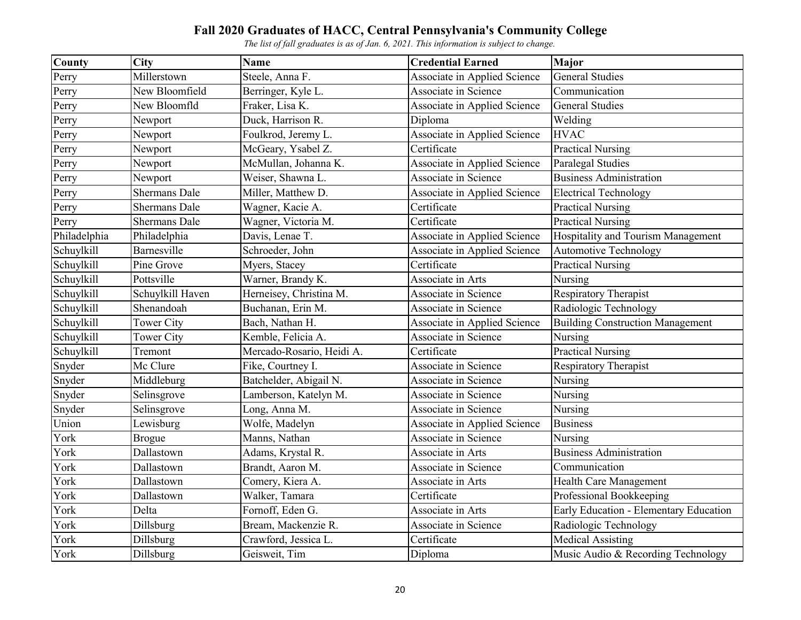| <b>County</b> | <b>City</b>          | <b>Name</b>               | <b>Credential Earned</b>     | Major                                   |
|---------------|----------------------|---------------------------|------------------------------|-----------------------------------------|
| Perry         | Millerstown          | Steele, Anna F.           | Associate in Applied Science | <b>General Studies</b>                  |
| Perry         | New Bloomfield       | Berringer, Kyle L.        | Associate in Science         | Communication                           |
| Perry         | New Bloomfld         | Fraker, Lisa K.           | Associate in Applied Science | <b>General Studies</b>                  |
| Perry         | Newport              | Duck, Harrison R.         | Diploma                      | Welding                                 |
| Perry         | Newport              | Foulkrod, Jeremy L.       | Associate in Applied Science | <b>HVAC</b>                             |
| Perry         | Newport              | McGeary, Ysabel Z.        | Certificate                  | <b>Practical Nursing</b>                |
| Perry         | Newport              | McMullan, Johanna K.      | Associate in Applied Science | Paralegal Studies                       |
| Perry         | Newport              | Weiser, Shawna L.         | Associate in Science         | <b>Business Administration</b>          |
| Perry         | <b>Shermans Dale</b> | Miller, Matthew D.        | Associate in Applied Science | <b>Electrical Technology</b>            |
| Perry         | <b>Shermans Dale</b> | Wagner, Kacie A.          | Certificate                  | <b>Practical Nursing</b>                |
| Perry         | Shermans Dale        | Wagner, Victoria M.       | Certificate                  | <b>Practical Nursing</b>                |
| Philadelphia  | Philadelphia         | Davis, Lenae T.           | Associate in Applied Science | Hospitality and Tourism Management      |
| Schuylkill    | Barnesville          | Schroeder, John           | Associate in Applied Science | <b>Automotive Technology</b>            |
| Schuylkill    | Pine Grove           | Myers, Stacey             | Certificate                  | <b>Practical Nursing</b>                |
| Schuylkill    | Pottsville           | Warner, Brandy K.         | Associate in Arts            | Nursing                                 |
| Schuylkill    | Schuylkill Haven     | Herneisey, Christina M.   | <b>Associate in Science</b>  | Respiratory Therapist                   |
| Schuylkill    | Shenandoah           | Buchanan, Erin M.         | Associate in Science         | Radiologic Technology                   |
| Schuylkill    | <b>Tower City</b>    | Bach, Nathan H.           | Associate in Applied Science | <b>Building Construction Management</b> |
| Schuylkill    | Tower City           | Kemble, Felicia A.        | Associate in Science         | Nursing                                 |
| Schuylkill    | Tremont              | Mercado-Rosario, Heidi A. | Certificate                  | <b>Practical Nursing</b>                |
| Snyder        | Mc Clure             | Fike, Courtney I.         | Associate in Science         | <b>Respiratory Therapist</b>            |
| Snyder        | Middleburg           | Batchelder, Abigail N.    | Associate in Science         | Nursing                                 |
| Snyder        | Selinsgrove          | Lamberson, Katelyn M.     | Associate in Science         | Nursing                                 |
| Snyder        | Selinsgrove          | Long, Anna M.             | Associate in Science         | Nursing                                 |
| Union         | Lewisburg            | Wolfe, Madelyn            | Associate in Applied Science | <b>Business</b>                         |
| York          | <b>Brogue</b>        | Manns, Nathan             | Associate in Science         | Nursing                                 |
| York          | Dallastown           | Adams, Krystal R.         | Associate in Arts            | <b>Business Administration</b>          |
| York          | Dallastown           | Brandt, Aaron M.          | Associate in Science         | Communication                           |
| York          | Dallastown           | Comery, Kiera A.          | Associate in Arts            | Health Care Management                  |
| York          | Dallastown           | Walker, Tamara            | Certificate                  | Professional Bookkeeping                |
| York          | Delta                | Fornoff, Eden G.          | Associate in Arts            | Early Education - Elementary Education  |
| York          | Dillsburg            | Bream, Mackenzie R.       | Associate in Science         | Radiologic Technology                   |
| York          | Dillsburg            | Crawford, Jessica L.      | Certificate                  | <b>Medical Assisting</b>                |
| York          | Dillsburg            | Geisweit, Tim             | Diploma                      | Music Audio & Recording Technology      |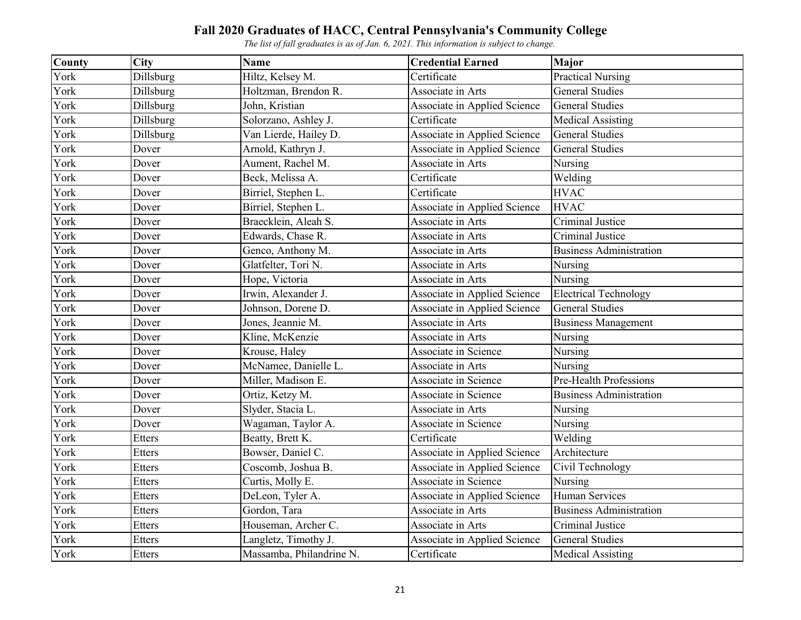| County | <b>City</b>   | <b>Name</b>                        | <b>Credential Earned</b>            | Major                          |
|--------|---------------|------------------------------------|-------------------------------------|--------------------------------|
| York   | Dillsburg     | Hiltz, Kelsey M.                   | Certificate                         | <b>Practical Nursing</b>       |
| York   | Dillsburg     | Holtzman, Brendon R.               | Associate in Arts                   | <b>General Studies</b>         |
| York   | Dillsburg     | John, Kristian                     | Associate in Applied Science        | <b>General Studies</b>         |
| York   | Dillsburg     | Solorzano, Ashley $\overline{J}$ . | Certificate                         | <b>Medical Assisting</b>       |
| York   | Dillsburg     | Van Lierde, Hailey D.              | Associate in Applied Science        | <b>General Studies</b>         |
| York   | Dover         | Arnold, Kathryn J.                 | Associate in Applied Science        | <b>General Studies</b>         |
| York   | Dover         | Aument, Rachel M.                  | Associate in Arts                   | Nursing                        |
| York   | Dover         | Beck, Melissa A.                   | Certificate                         | Welding                        |
| York   | Dover         | Birriel, Stephen L.                | Certificate                         | <b>HVAC</b>                    |
| York   | Dover         | Birriel, Stephen L.                | Associate in Applied Science        | <b>HVAC</b>                    |
| York   | Dover         | Braecklein, Aleah S.               | Associate in Arts                   | Criminal Justice               |
| York   | Dover         | Edwards, Chase R.                  | Associate in Arts                   | Criminal Justice               |
| York   | Dover         | Genco, Anthony M.                  | Associate in Arts                   | <b>Business Administration</b> |
| York   | Dover         | Glatfelter, Tori N.                | Associate in Arts                   | Nursing                        |
| York   | Dover         | Hope, Victoria                     | Associate in Arts                   | Nursing                        |
| York   | Dover         | Irwin, Alexander J.                | Associate in Applied Science        | <b>Electrical Technology</b>   |
| York   | Dover         | Johnson, Dorene D.                 | Associate in Applied Science        | <b>General Studies</b>         |
| York   | Dover         | Jones, Jeannie M.                  | Associate in Arts                   | <b>Business Management</b>     |
| York   | Dover         | Kline, McKenzie                    | Associate in Arts                   | Nursing                        |
| York   | Dover         | Krouse, Haley                      | Associate in Science                | Nursing                        |
| York   | Dover         | McNamee, Danielle L.               | Associate in Arts                   | Nursing                        |
| York   | Dover         | Miller, Madison E.                 | Associate in Science                | Pre-Health Professions         |
| York   | Dover         | Ortiz, Ketzy M.                    | Associate in Science                | <b>Business Administration</b> |
| York   | Dover         | Slyder, Stacia L.                  | Associate in Arts                   | Nursing                        |
| York   | Dover         | Wagaman, Taylor A.                 | Associate in Science                | Nursing                        |
| York   | <b>Etters</b> | Beatty, Brett K.                   | Certificate                         | Welding                        |
| York   | <b>Etters</b> | Bowser, Daniel C.                  | Associate in Applied Science        | Architecture                   |
| York   | Etters        | Coscomb, Joshua B.                 | Associate in Applied Science        | Civil Technology               |
| York   | <b>Etters</b> | Curtis, Molly E.                   | Associate in Science                | Nursing                        |
| York   | <b>Etters</b> | DeLeon, Tyler A.                   | <b>Associate in Applied Science</b> | <b>Human Services</b>          |
| York   | Etters        | Gordon, Tara                       | Associate in Arts                   | <b>Business Administration</b> |
| York   | <b>Etters</b> | Houseman, Archer C.                | Associate in Arts                   | <b>Criminal Justice</b>        |
| York   | Etters        | Langletz, Timothy J.               | Associate in Applied Science        | <b>General Studies</b>         |
| York   | <b>Etters</b> | Massamba, Philandrine N.           | Certificate                         | <b>Medical Assisting</b>       |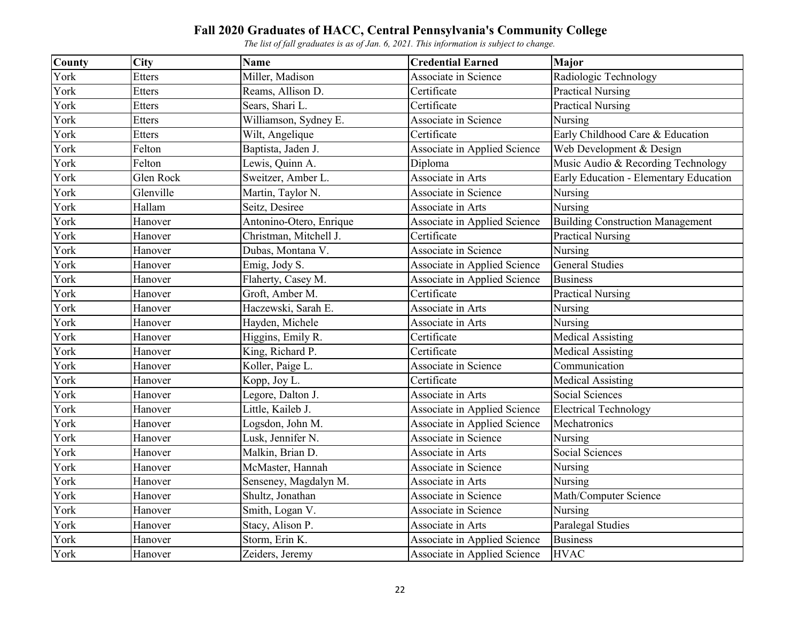| County | <b>City</b>   | <b>Name</b>             | <b>Credential Earned</b>     | Major                                   |
|--------|---------------|-------------------------|------------------------------|-----------------------------------------|
| York   | <b>Etters</b> | Miller, Madison         | Associate in Science         | Radiologic Technology                   |
| York   | <b>Etters</b> | Reams, Allison D.       | Certificate                  | <b>Practical Nursing</b>                |
| York   | Etters        | Sears, Shari L.         | Certificate                  | <b>Practical Nursing</b>                |
| York   | <b>Etters</b> | Williamson, Sydney E.   | Associate in Science         | Nursing                                 |
| York   | <b>Etters</b> | Wilt, Angelique         | Certificate                  | Early Childhood Care & Education        |
| York   | Felton        | Baptista, Jaden J.      | Associate in Applied Science | Web Development & Design                |
| York   | Felton        | Lewis, Quinn A.         | Diploma                      | Music Audio & Recording Technology      |
| York   | Glen Rock     | Sweitzer, Amber L.      | Associate in Arts            | Early Education - Elementary Education  |
| York   | Glenville     | Martin, Taylor N.       | Associate in Science         | Nursing                                 |
| York   | Hallam        | Seitz, Desiree          | Associate in Arts            | Nursing                                 |
| York   | Hanover       | Antonino-Otero, Enrique | Associate in Applied Science | <b>Building Construction Management</b> |
| York   | Hanover       | Christman, Mitchell J.  | Certificate                  | <b>Practical Nursing</b>                |
| York   | Hanover       | Dubas, Montana V.       | Associate in Science         | Nursing                                 |
| York   | Hanover       | Emig, Jody S.           | Associate in Applied Science | <b>General Studies</b>                  |
| York   | Hanover       | Flaherty, Casey M.      | Associate in Applied Science | <b>Business</b>                         |
| York   | Hanover       | Groft, Amber M.         | Certificate                  | <b>Practical Nursing</b>                |
| York   | Hanover       | Haczewski, Sarah E.     | Associate in Arts            | Nursing                                 |
| York   | Hanover       | Hayden, Michele         | Associate in Arts            | Nursing                                 |
| York   | Hanover       | Higgins, Emily R.       | Certificate                  | <b>Medical Assisting</b>                |
| York   | Hanover       | King, Richard P.        | Certificate                  | <b>Medical Assisting</b>                |
| York   | Hanover       | Koller, Paige L.        | Associate in Science         | Communication                           |
| York   | Hanover       | Kopp, Joy L.            | Certificate                  | <b>Medical Assisting</b>                |
| York   | Hanover       | Legore, Dalton J.       | Associate in Arts            | Social Sciences                         |
| York   | Hanover       | Little, Kaileb J.       | Associate in Applied Science | <b>Electrical Technology</b>            |
| York   | Hanover       | Logsdon, John M.        | Associate in Applied Science | Mechatronics                            |
| York   | Hanover       | Lusk, Jennifer N.       | Associate in Science         | Nursing                                 |
| York   | Hanover       | Malkin, Brian D.        | Associate in Arts            | Social Sciences                         |
| York   | Hanover       | McMaster, Hannah        | Associate in Science         | Nursing                                 |
| York   | Hanover       | Senseney, Magdalyn M.   | Associate in Arts            | Nursing                                 |
| York   | Hanover       | Shultz, Jonathan        | Associate in Science         | Math/Computer Science                   |
| York   | Hanover       | Smith, Logan V.         | Associate in Science         | Nursing                                 |
| York   | Hanover       | Stacy, Alison P.        | Associate in Arts            | Paralegal Studies                       |
| York   | Hanover       | Storm, Erin K.          | Associate in Applied Science | <b>Business</b>                         |
| York   | Hanover       | Zeiders, Jeremy         | Associate in Applied Science | <b>HVAC</b>                             |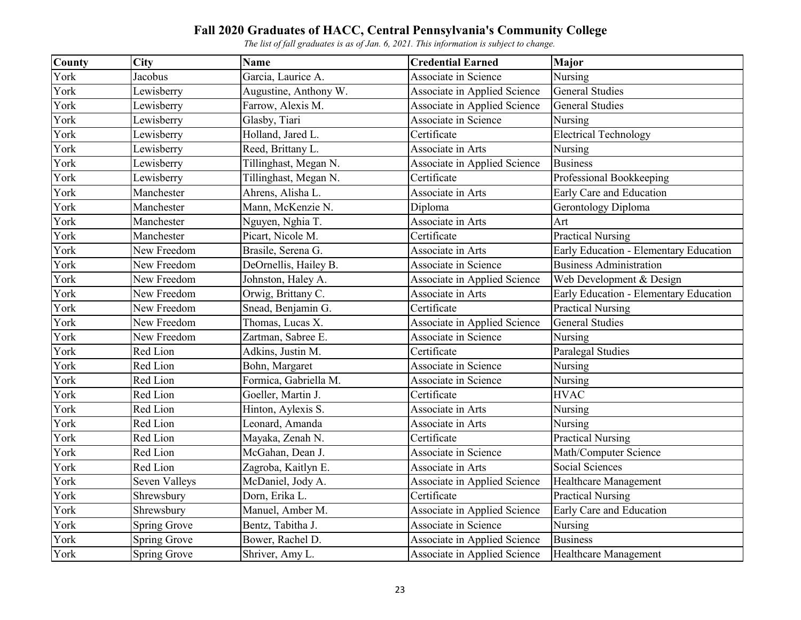| <b>County</b> | <b>City</b>         | <b>Name</b>           | <b>Credential Earned</b>            | Major                                  |
|---------------|---------------------|-----------------------|-------------------------------------|----------------------------------------|
| York          | Jacobus             | Garcia, Laurice A.    | Associate in Science                | Nursing                                |
| York          | Lewisberry          | Augustine, Anthony W. | Associate in Applied Science        | <b>General Studies</b>                 |
| York          | Lewisberry          | Farrow, Alexis M.     | Associate in Applied Science        | <b>General Studies</b>                 |
| York          | Lewisberry          | Glasby, Tiari         | Associate in Science                | Nursing                                |
| York          | Lewisberry          | Holland, Jared L.     | Certificate                         | <b>Electrical Technology</b>           |
| York          | Lewisberry          | Reed, Brittany L.     | Associate in Arts                   | Nursing                                |
| York          | Lewisberry          | Tillinghast, Megan N. | Associate in Applied Science        | <b>Business</b>                        |
| York          | Lewisberry          | Tillinghast, Megan N. | Certificate                         | Professional Bookkeeping               |
| York          | Manchester          | Ahrens, Alisha L.     | Associate in Arts                   | Early Care and Education               |
| York          | Manchester          | Mann, McKenzie N.     | Diploma                             | Gerontology Diploma                    |
| York          | Manchester          | Nguyen, Nghia T.      | Associate in Arts                   | Art                                    |
| York          | Manchester          | Picart, Nicole M.     | Certificate                         | <b>Practical Nursing</b>               |
| York          | New Freedom         | Brasile, Serena G.    | Associate in Arts                   | Early Education - Elementary Education |
| York          | New Freedom         | DeOrnellis, Hailey B. | Associate in Science                | <b>Business Administration</b>         |
| York          | New Freedom         | Johnston, Haley A.    | Associate in Applied Science        | Web Development & Design               |
| York          | New Freedom         | Orwig, Brittany C.    | Associate in Arts                   | Early Education - Elementary Education |
| York          | New Freedom         | Snead, Benjamin G.    | Certificate                         | <b>Practical Nursing</b>               |
| York          | New Freedom         | Thomas, Lucas X.      | Associate in Applied Science        | <b>General Studies</b>                 |
| York          | New Freedom         | Zartman, Sabree E.    | Associate in Science                | Nursing                                |
| York          | Red Lion            | Adkins, Justin M.     | Certificate                         | <b>Paralegal Studies</b>               |
| York          | Red Lion            | Bohn, Margaret        | Associate in Science                | Nursing                                |
| York          | Red Lion            | Formica, Gabriella M. | Associate in Science                | Nursing                                |
| York          | Red Lion            | Goeller, Martin J.    | Certificate                         | <b>HVAC</b>                            |
| York          | Red Lion            | Hinton, Aylexis S.    | Associate in Arts                   | Nursing                                |
| York          | Red Lion            | Leonard, Amanda       | Associate in Arts                   | Nursing                                |
| York          | Red Lion            | Mayaka, Zenah N.      | Certificate                         | <b>Practical Nursing</b>               |
| York          | Red Lion            | McGahan, Dean J.      | Associate in Science                | Math/Computer Science                  |
| York          | Red Lion            | Zagroba, Kaitlyn E.   | Associate in Arts                   | Social Sciences                        |
| York          | Seven Valleys       | McDaniel, Jody A.     | Associate in Applied Science        | Healthcare Management                  |
| York          | Shrewsbury          | Dorn, Erika L.        | Certificate                         | <b>Practical Nursing</b>               |
| York          | Shrewsbury          | Manuel, Amber M.      | <b>Associate in Applied Science</b> | Early Care and Education               |
| York          | <b>Spring Grove</b> | Bentz, Tabitha J.     | Associate in Science                | Nursing                                |
| York          | Spring Grove        | Bower, Rachel D.      | Associate in Applied Science        | <b>Business</b>                        |
| York          | Spring Grove        | Shriver, Amy L.       | Associate in Applied Science        | Healthcare Management                  |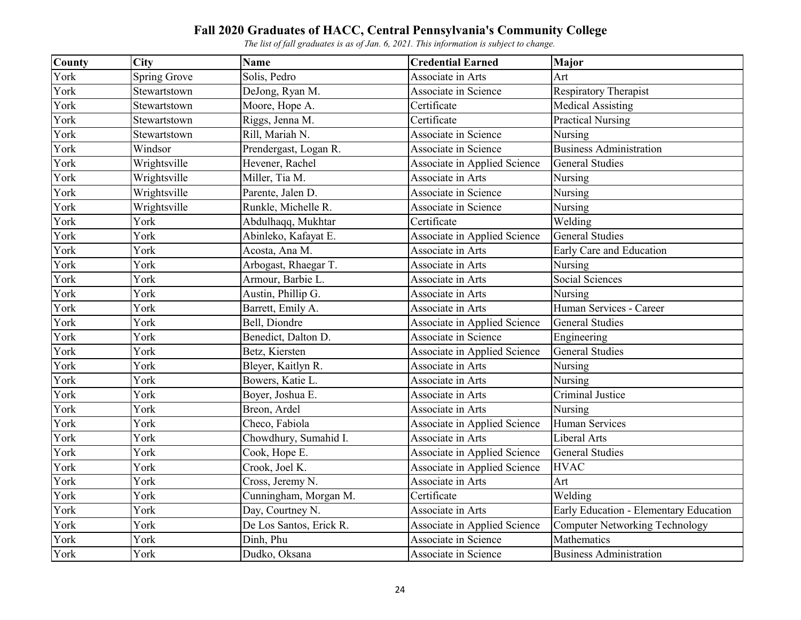| County | <b>City</b>  | <b>Name</b>             | <b>Credential Earned</b>     | <b>Major</b>                           |
|--------|--------------|-------------------------|------------------------------|----------------------------------------|
| York   | Spring Grove | Solis, Pedro            | Associate in Arts            | Art                                    |
| York   | Stewartstown | DeJong, Ryan M.         | Associate in Science         | <b>Respiratory Therapist</b>           |
| York   | Stewartstown | Moore, Hope A.          | Certificate                  | <b>Medical Assisting</b>               |
| York   | Stewartstown | Riggs, Jenna M.         | Certificate                  | <b>Practical Nursing</b>               |
| York   | Stewartstown | Rill, Mariah N.         | Associate in Science         | Nursing                                |
| York   | Windsor      | Prendergast, Logan R.   | Associate in Science         | <b>Business Administration</b>         |
| York   | Wrightsville | Hevener, Rachel         | Associate in Applied Science | <b>General Studies</b>                 |
| York   | Wrightsville | Miller, Tia M.          | Associate in Arts            | Nursing                                |
| York   | Wrightsville | Parente, Jalen D.       | Associate in Science         | Nursing                                |
| York   | Wrightsville | Runkle, Michelle R.     | Associate in Science         | Nursing                                |
| York   | York         | Abdulhaqq, Mukhtar      | Certificate                  | Welding                                |
| York   | York         | Abinleko, Kafayat E.    | Associate in Applied Science | <b>General Studies</b>                 |
| York   | York         | Acosta, Ana M.          | Associate in Arts            | Early Care and Education               |
| York   | York         | Arbogast, Rhaegar T.    | Associate in Arts            | Nursing                                |
| York   | York         | Armour, Barbie L.       | Associate in Arts            | Social Sciences                        |
| York   | York         | Austin, Phillip G.      | Associate in Arts            | Nursing                                |
| York   | York         | Barrett, Emily A.       | Associate in Arts            | Human Services - Career                |
| York   | York         | Bell, Diondre           | Associate in Applied Science | <b>General Studies</b>                 |
| York   | York         | Benedict, Dalton D.     | Associate in Science         | Engineering                            |
| York   | York         | Betz, Kiersten          | Associate in Applied Science | <b>General Studies</b>                 |
| York   | York         | Bleyer, Kaitlyn R.      | Associate in Arts            | Nursing                                |
| York   | York         | Bowers, Katie L.        | Associate in Arts            | Nursing                                |
| York   | York         | Boyer, Joshua E.        | Associate in Arts            | Criminal Justice                       |
| York   | York         | Breon, Ardel            | Associate in Arts            | Nursing                                |
| York   | York         | Checo, Fabiola          | Associate in Applied Science | <b>Human Services</b>                  |
| York   | York         | Chowdhury, Sumahid I.   | Associate in Arts            | Liberal Arts                           |
| York   | York         | Cook, Hope E.           | Associate in Applied Science | <b>General Studies</b>                 |
| York   | York         | Crook, Joel K.          | Associate in Applied Science | <b>HVAC</b>                            |
| York   | York         | Cross, Jeremy N.        | Associate in Arts            | Art                                    |
| York   | York         | Cunningham, Morgan M.   | Certificate                  | Welding                                |
| York   | York         | Day, Courtney N.        | Associate in Arts            | Early Education - Elementary Education |
| York   | York         | De Los Santos, Erick R. | Associate in Applied Science | <b>Computer Networking Technology</b>  |
| York   | York         | Dinh, Phu               | Associate in Science         | Mathematics                            |
| York   | York         | Dudko, Oksana           | Associate in Science         | <b>Business Administration</b>         |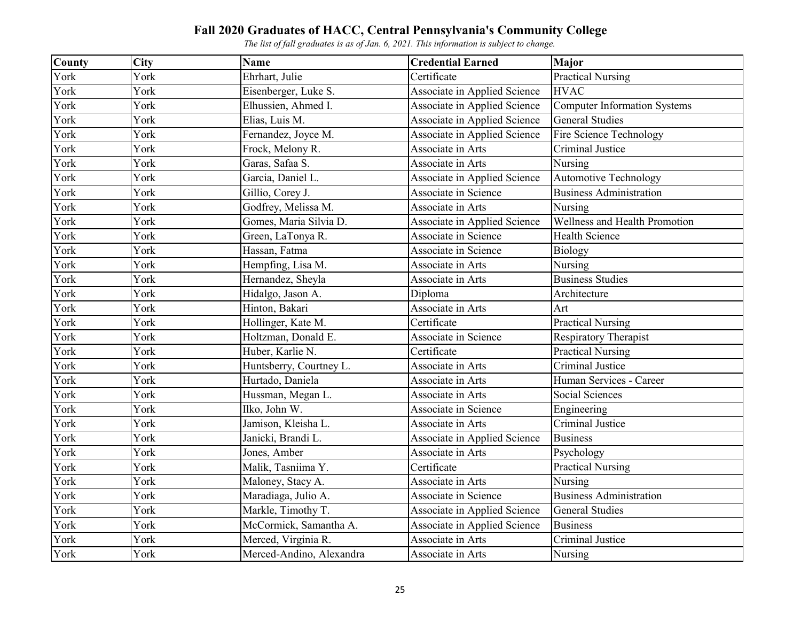| County | <b>City</b> | <b>Name</b>              | <b>Credential Earned</b>            | <b>Major</b>                        |
|--------|-------------|--------------------------|-------------------------------------|-------------------------------------|
| York   | York        | Ehrhart, Julie           | Certificate                         | <b>Practical Nursing</b>            |
| York   | York        | Eisenberger, Luke S.     | <b>Associate in Applied Science</b> | <b>HVAC</b>                         |
| York   | York        | Elhussien, Ahmed I.      | Associate in Applied Science        | <b>Computer Information Systems</b> |
| York   | York        | Elias, Luis M.           | Associate in Applied Science        | <b>General Studies</b>              |
| York   | York        | Fernandez, Joyce M.      | Associate in Applied Science        | Fire Science Technology             |
| York   | York        | Frock, Melony R.         | Associate in Arts                   | Criminal Justice                    |
| York   | York        | Garas, Safaa S.          | Associate in Arts                   | Nursing                             |
| York   | York        | Garcia, Daniel L.        | Associate in Applied Science        | <b>Automotive Technology</b>        |
| York   | York        | Gillio, Corey J.         | Associate in Science                | <b>Business Administration</b>      |
| York   | York        | Godfrey, Melissa M.      | Associate in Arts                   | Nursing                             |
| York   | York        | Gomes, Maria Silvia D.   | Associate in Applied Science        | Wellness and Health Promotion       |
| York   | York        | Green, LaTonya R.        | Associate in Science                | <b>Health Science</b>               |
| York   | York        | Hassan, Fatma            | Associate in Science                | <b>Biology</b>                      |
| York   | York        | Hempfing, Lisa M.        | Associate in Arts                   | Nursing                             |
| York   | York        | Hernandez, Sheyla        | Associate in Arts                   | <b>Business Studies</b>             |
| York   | York        | Hidalgo, Jason A.        | Diploma                             | Architecture                        |
| York   | York        | Hinton, Bakari           | Associate in Arts                   | Art                                 |
| York   | York        | Hollinger, Kate M.       | Certificate                         | <b>Practical Nursing</b>            |
| York   | York        | Holtzman, Donald E.      | Associate in Science                | Respiratory Therapist               |
| York   | York        | Huber, Karlie N.         | Certificate                         | <b>Practical Nursing</b>            |
| York   | York        | Huntsberry, Courtney L.  | Associate in Arts                   | Criminal Justice                    |
| York   | York        | Hurtado, Daniela         | Associate in Arts                   | Human Services - Career             |
| York   | York        | Hussman, Megan L.        | Associate in Arts                   | Social Sciences                     |
| York   | York        | Ilko, John W.            | Associate in Science                | Engineering                         |
| York   | York        | Jamison, Kleisha L.      | Associate in Arts                   | Criminal Justice                    |
| York   | York        | Janicki, Brandi L.       | Associate in Applied Science        | <b>Business</b>                     |
| York   | York        | Jones, Amber             | Associate in Arts                   | Psychology                          |
| York   | York        | Malik, Tasniima Y.       | Certificate                         | <b>Practical Nursing</b>            |
| York   | York        | Maloney, Stacy A.        | Associate in Arts                   | Nursing                             |
| York   | York        | Maradiaga, Julio A.      | Associate in Science                | <b>Business Administration</b>      |
| York   | York        | Markle, Timothy T.       | Associate in Applied Science        | <b>General Studies</b>              |
| York   | York        | McCormick, Samantha A.   | Associate in Applied Science        | <b>Business</b>                     |
| York   | York        | Merced, Virginia R.      | Associate in Arts                   | Criminal Justice                    |
| York   | York        | Merced-Andino, Alexandra | Associate in Arts                   | Nursing                             |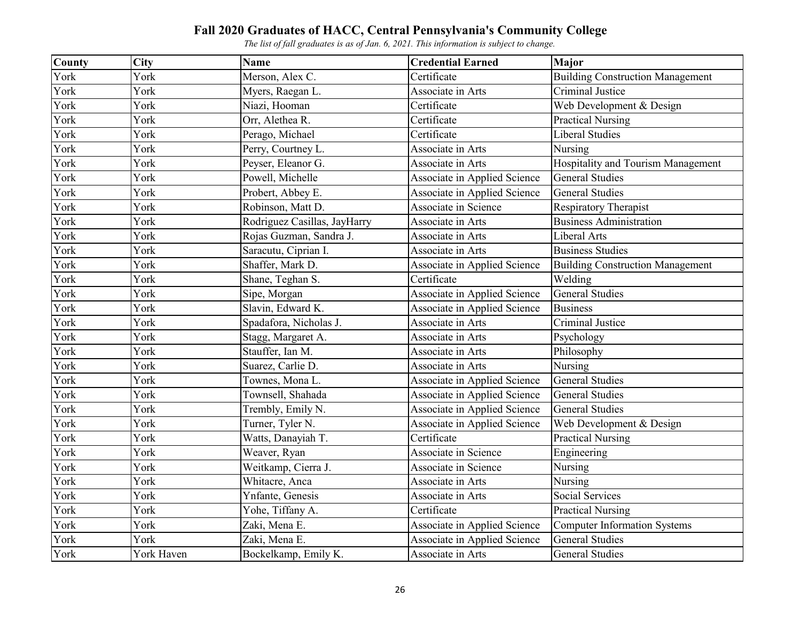| County | <b>City</b> | <b>Name</b>                  | <b>Credential Earned</b>            | Major                                   |
|--------|-------------|------------------------------|-------------------------------------|-----------------------------------------|
| York   | York        | Merson, Alex C.              | Certificate                         | <b>Building Construction Management</b> |
| York   | York        | Myers, Raegan L.             | Associate in Arts                   | Criminal Justice                        |
| York   | York        | Niazi, Hooman                | Certificate                         | Web Development & Design                |
| York   | York        | Orr, Alethea R.              | Certificate                         | <b>Practical Nursing</b>                |
| York   | York        | Perago, Michael              | Certificate                         | <b>Liberal Studies</b>                  |
| York   | York        | Perry, Courtney L.           | Associate in Arts                   | Nursing                                 |
| York   | York        | Peyser, Eleanor G.           | Associate in Arts                   | Hospitality and Tourism Management      |
| York   | York        | Powell, Michelle             | Associate in Applied Science        | <b>General Studies</b>                  |
| York   | York        | Probert, Abbey E.            | Associate in Applied Science        | <b>General Studies</b>                  |
| York   | York        | Robinson, Matt D.            | Associate in Science                | Respiratory Therapist                   |
| York   | York        | Rodriguez Casillas, JayHarry | Associate in Arts                   | <b>Business Administration</b>          |
| York   | York        | Rojas Guzman, Sandra J.      | Associate in Arts                   | Liberal Arts                            |
| York   | York        | Saracutu, Ciprian I.         | Associate in Arts                   | <b>Business Studies</b>                 |
| York   | York        | Shaffer, Mark D.             | Associate in Applied Science        | <b>Building Construction Management</b> |
| York   | York        | Shane, Teghan S.             | Certificate                         | Welding                                 |
| York   | York        | Sipe, Morgan                 | Associate in Applied Science        | <b>General Studies</b>                  |
| York   | York        | Slavin, Edward K.            | Associate in Applied Science        | <b>Business</b>                         |
| York   | York        | Spadafora, Nicholas J.       | Associate in Arts                   | Criminal Justice                        |
| York   | York        | Stagg, Margaret A.           | Associate in Arts                   | Psychology                              |
| York   | York        | Stauffer, Ian M.             | Associate in Arts                   | Philosophy                              |
| York   | York        | Suarez, Carlie D.            | Associate in Arts                   | Nursing                                 |
| York   | York        | Townes, Mona L.              | <b>Associate in Applied Science</b> | <b>General Studies</b>                  |
| York   | York        | Townsell, Shahada            | Associate in Applied Science        | <b>General Studies</b>                  |
| York   | York        | Trembly, Emily N.            | Associate in Applied Science        | <b>General Studies</b>                  |
| York   | York        | Turner, Tyler N.             | Associate in Applied Science        | Web Development & Design                |
| York   | York        | Watts, Danayiah T.           | Certificate                         | <b>Practical Nursing</b>                |
| York   | York        | Weaver, Ryan                 | Associate in Science                | Engineering                             |
| York   | York        | Weitkamp, Cierra J.          | Associate in Science                | Nursing                                 |
| York   | York        | Whitacre, Anca               | Associate in Arts                   | Nursing                                 |
| York   | York        | Ynfante, Genesis             | Associate in Arts                   | <b>Social Services</b>                  |
| York   | York        | Yohe, Tiffany A.             | Certificate                         | <b>Practical Nursing</b>                |
| York   | York        | Zaki, Mena E.                | Associate in Applied Science        | <b>Computer Information Systems</b>     |
| York   | York        | Zaki, Mena E.                | Associate in Applied Science        | <b>General Studies</b>                  |
| York   | York Haven  | Bockelkamp, Emily K.         | Associate in Arts                   | <b>General Studies</b>                  |